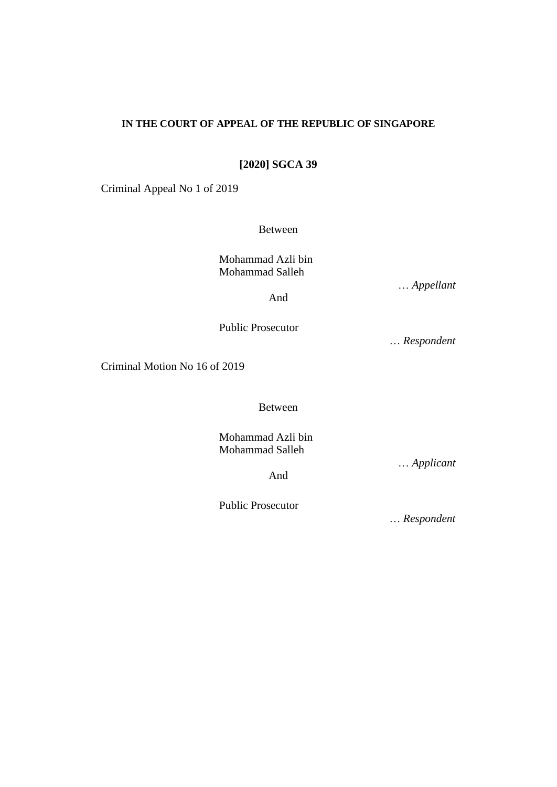# **IN THE COURT OF APPEAL OF THE REPUBLIC OF SINGAPORE**

**[2020] SGCA 39**

Criminal Appeal No 1 of 2019

Between

Mohammad Azli bin Mohammad Salleh

… *Appellant*

And

Public Prosecutor

… *Respondent*

Criminal Motion No 16 of 2019

Between

Mohammad Azli bin Mohammad Salleh

… *Applicant*

And

Public Prosecutor

… *Respondent*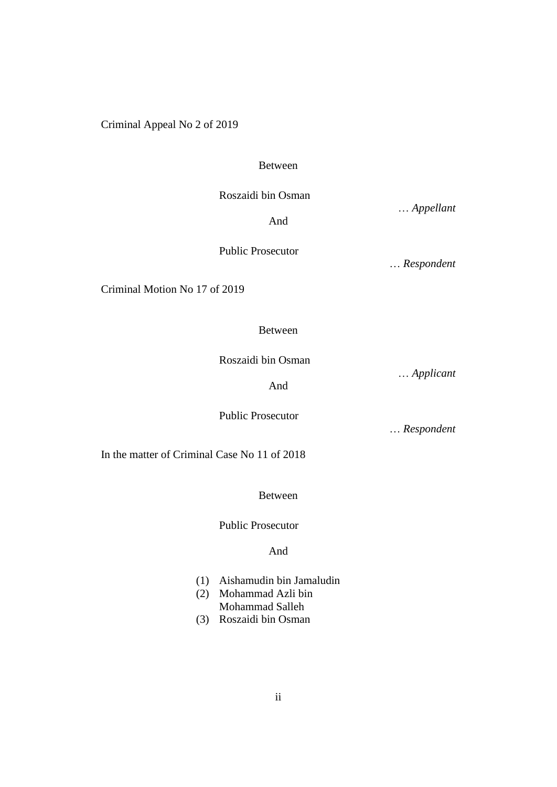Criminal Appeal No 2 of 2019

#### Between

Roszaidi bin Osman

Public Prosecutor

… *Appellant*

And

… *Respondent*

Criminal Motion No 17 of 2019

# Between

Roszaidi bin Osman

… *Applicant*

And

Public Prosecutor

… *Respondent*

In the matter of Criminal Case No 11 of 2018

Between

Public Prosecutor

And

- (1) Aishamudin bin Jamaludin
- (2) Mohammad Azli bin Mohammad Salleh
- (3) Roszaidi bin Osman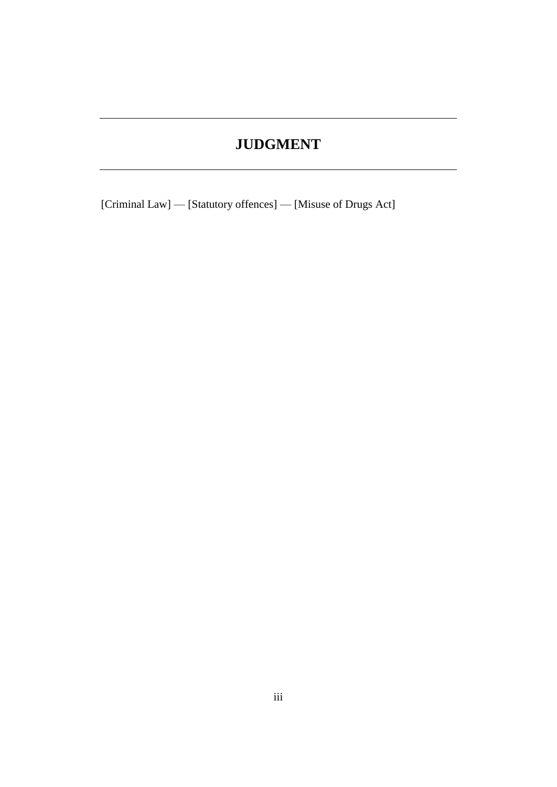# **JUDGMENT**

[Criminal Law] — [Statutory offences] — [Misuse of Drugs Act]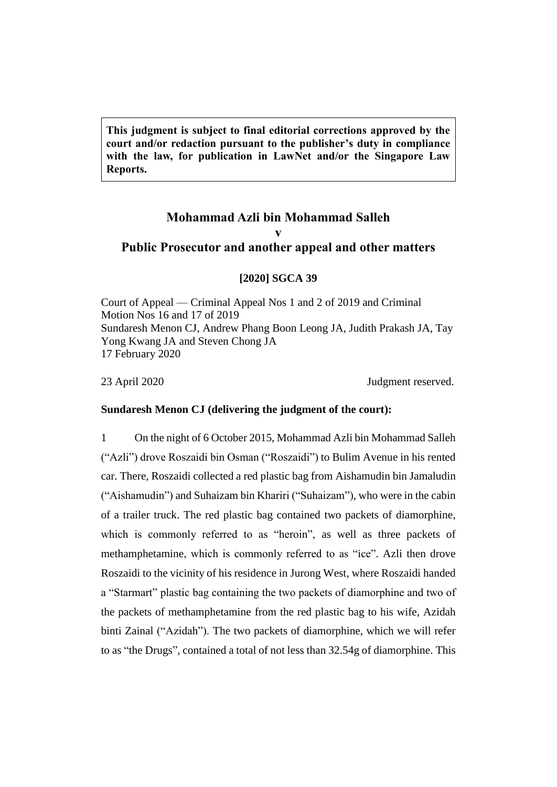**This judgment is subject to final editorial corrections approved by the court and/or redaction pursuant to the publisher's duty in compliance with the law, for publication in LawNet and/or the Singapore Law Reports.**

# **Mohammad Azli bin Mohammad Salleh v Public Prosecutor and another appeal and other matters**

#### **[2020] SGCA 39**

Court of Appeal — Criminal Appeal Nos 1 and 2 of 2019 and Criminal Motion Nos 16 and 17 of 2019 Sundaresh Menon CJ, Andrew Phang Boon Leong JA, Judith Prakash JA, Tay Yong Kwang JA and Steven Chong JA 17 February 2020

23 April 2020 Judgment reserved.

#### **Sundaresh Menon CJ (delivering the judgment of the court):**

1 On the night of 6 October 2015, Mohammad Azli bin Mohammad Salleh ("Azli") drove Roszaidi bin Osman ("Roszaidi") to Bulim Avenue in his rented car. There, Roszaidi collected a red plastic bag from Aishamudin bin Jamaludin ("Aishamudin") and Suhaizam bin Khariri ("Suhaizam"), who were in the cabin of a trailer truck. The red plastic bag contained two packets of diamorphine, which is commonly referred to as "heroin", as well as three packets of methamphetamine, which is commonly referred to as "ice". Azli then drove Roszaidi to the vicinity of his residence in Jurong West, where Roszaidi handed a "Starmart" plastic bag containing the two packets of diamorphine and two of the packets of methamphetamine from the red plastic bag to his wife, Azidah binti Zainal ("Azidah"). The two packets of diamorphine, which we will refer to as "the Drugs", contained a total of not less than 32.54g of diamorphine. This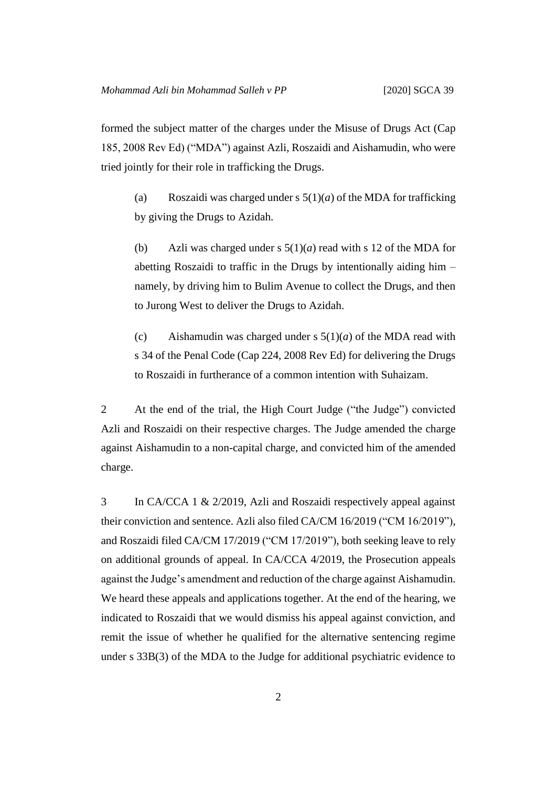formed the subject matter of the charges under the Misuse of Drugs Act (Cap 185, 2008 Rev Ed) ("MDA") against Azli, Roszaidi and Aishamudin, who were tried jointly for their role in trafficking the Drugs.

(a) Roszaidi was charged under s  $5(1)(a)$  of the MDA for trafficking by giving the Drugs to Azidah.

(b) Azli was charged under s  $5(1)(a)$  read with s 12 of the MDA for abetting Roszaidi to traffic in the Drugs by intentionally aiding him – namely, by driving him to Bulim Avenue to collect the Drugs, and then to Jurong West to deliver the Drugs to Azidah.

(c) Aishamudin was charged under s 5(1)(*a*) of the MDA read with s 34 of the Penal Code (Cap 224, 2008 Rev Ed) for delivering the Drugs to Roszaidi in furtherance of a common intention with Suhaizam.

2 At the end of the trial, the High Court Judge ("the Judge") convicted Azli and Roszaidi on their respective charges. The Judge amended the charge against Aishamudin to a non-capital charge, and convicted him of the amended charge.

3 In CA/CCA 1 & 2/2019, Azli and Roszaidi respectively appeal against their conviction and sentence. Azli also filed CA/CM 16/2019 ("CM 16/2019"), and Roszaidi filed CA/CM 17/2019 ("CM 17/2019"), both seeking leave to rely on additional grounds of appeal. In CA/CCA 4/2019, the Prosecution appeals against the Judge's amendment and reduction of the charge against Aishamudin. We heard these appeals and applications together. At the end of the hearing, we indicated to Roszaidi that we would dismiss his appeal against conviction, and remit the issue of whether he qualified for the alternative sentencing regime under s 33B(3) of the MDA to the Judge for additional psychiatric evidence to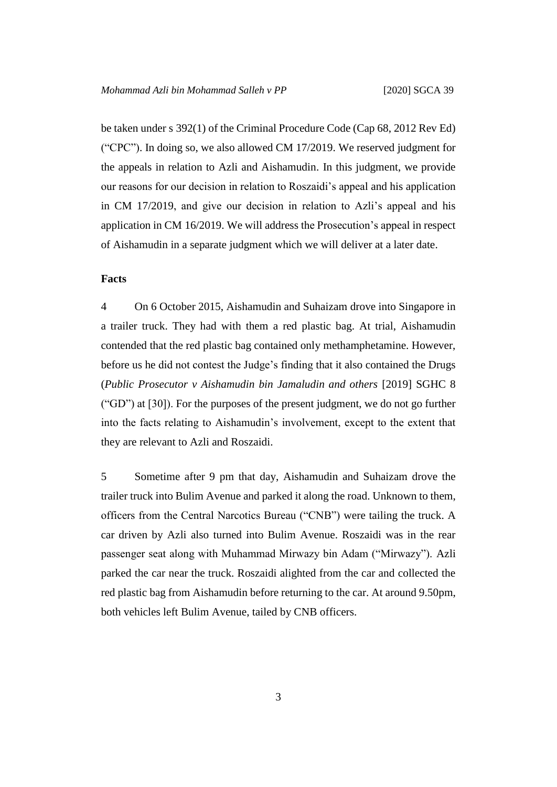be taken under s 392(1) of the Criminal Procedure Code (Cap 68, 2012 Rev Ed) ("CPC"). In doing so, we also allowed CM 17/2019. We reserved judgment for the appeals in relation to Azli and Aishamudin. In this judgment, we provide our reasons for our decision in relation to Roszaidi's appeal and his application in CM 17/2019, and give our decision in relation to Azli's appeal and his application in CM 16/2019. We will address the Prosecution's appeal in respect of Aishamudin in a separate judgment which we will deliver at a later date.

#### **Facts**

4 On 6 October 2015, Aishamudin and Suhaizam drove into Singapore in a trailer truck. They had with them a red plastic bag. At trial, Aishamudin contended that the red plastic bag contained only methamphetamine. However, before us he did not contest the Judge's finding that it also contained the Drugs (*Public Prosecutor v Aishamudin bin Jamaludin and others* [2019] SGHC 8 ("GD") at [30]). For the purposes of the present judgment, we do not go further into the facts relating to Aishamudin's involvement, except to the extent that they are relevant to Azli and Roszaidi.

5 Sometime after 9 pm that day, Aishamudin and Suhaizam drove the trailer truck into Bulim Avenue and parked it along the road. Unknown to them, officers from the Central Narcotics Bureau ("CNB") were tailing the truck. A car driven by Azli also turned into Bulim Avenue. Roszaidi was in the rear passenger seat along with Muhammad Mirwazy bin Adam ("Mirwazy"). Azli parked the car near the truck. Roszaidi alighted from the car and collected the red plastic bag from Aishamudin before returning to the car. At around 9.50pm, both vehicles left Bulim Avenue, tailed by CNB officers.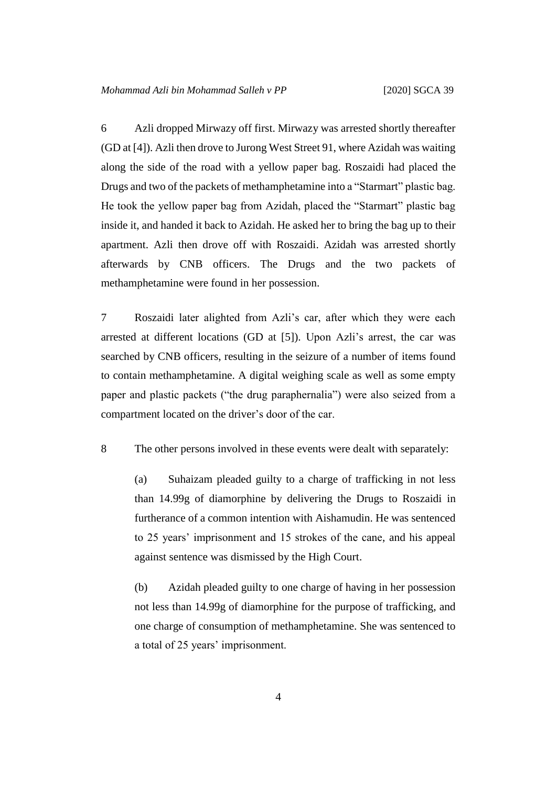6 Azli dropped Mirwazy off first. Mirwazy was arrested shortly thereafter (GD at [4]). Azli then drove to Jurong West Street 91, where Azidah was waiting along the side of the road with a yellow paper bag. Roszaidi had placed the Drugs and two of the packets of methamphetamine into a "Starmart" plastic bag. He took the yellow paper bag from Azidah, placed the "Starmart" plastic bag inside it, and handed it back to Azidah. He asked her to bring the bag up to their apartment. Azli then drove off with Roszaidi. Azidah was arrested shortly afterwards by CNB officers. The Drugs and the two packets of methamphetamine were found in her possession.

7 Roszaidi later alighted from Azli's car, after which they were each arrested at different locations (GD at [5]). Upon Azli's arrest, the car was searched by CNB officers, resulting in the seizure of a number of items found to contain methamphetamine. A digital weighing scale as well as some empty paper and plastic packets ("the drug paraphernalia") were also seized from a compartment located on the driver's door of the car.

8 The other persons involved in these events were dealt with separately:

(a) Suhaizam pleaded guilty to a charge of trafficking in not less than 14.99g of diamorphine by delivering the Drugs to Roszaidi in furtherance of a common intention with Aishamudin. He was sentenced to 25 years' imprisonment and 15 strokes of the cane, and his appeal against sentence was dismissed by the High Court.

(b) Azidah pleaded guilty to one charge of having in her possession not less than 14.99g of diamorphine for the purpose of trafficking, and one charge of consumption of methamphetamine. She was sentenced to a total of 25 years' imprisonment.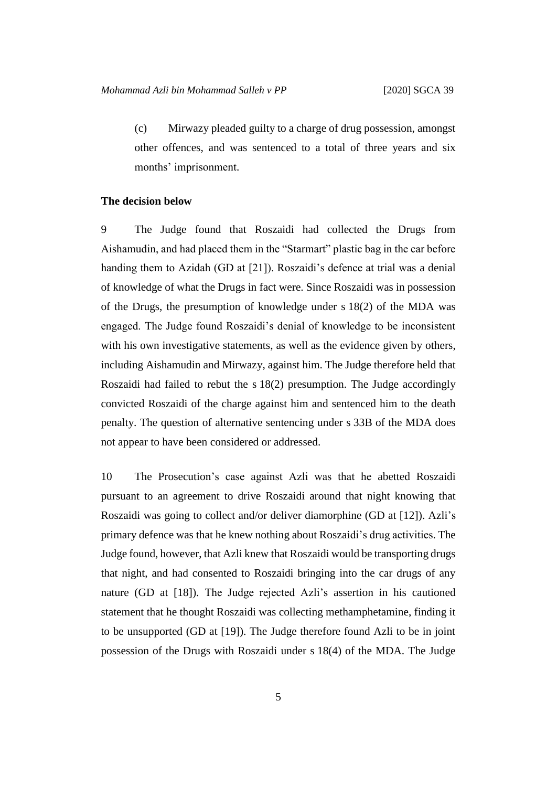(c) Mirwazy pleaded guilty to a charge of drug possession, amongst other offences, and was sentenced to a total of three years and six months' imprisonment.

#### **The decision below**

9 The Judge found that Roszaidi had collected the Drugs from Aishamudin, and had placed them in the "Starmart" plastic bag in the car before handing them to Azidah (GD at [21]). Roszaidi's defence at trial was a denial of knowledge of what the Drugs in fact were. Since Roszaidi was in possession of the Drugs, the presumption of knowledge under s 18(2) of the MDA was engaged. The Judge found Roszaidi's denial of knowledge to be inconsistent with his own investigative statements, as well as the evidence given by others, including Aishamudin and Mirwazy, against him. The Judge therefore held that Roszaidi had failed to rebut the s 18(2) presumption. The Judge accordingly convicted Roszaidi of the charge against him and sentenced him to the death penalty. The question of alternative sentencing under s 33B of the MDA does not appear to have been considered or addressed.

10 The Prosecution's case against Azli was that he abetted Roszaidi pursuant to an agreement to drive Roszaidi around that night knowing that Roszaidi was going to collect and/or deliver diamorphine (GD at [12]). Azli's primary defence was that he knew nothing about Roszaidi's drug activities. The Judge found, however, that Azli knew that Roszaidi would be transporting drugs that night, and had consented to Roszaidi bringing into the car drugs of any nature (GD at [18]). The Judge rejected Azli's assertion in his cautioned statement that he thought Roszaidi was collecting methamphetamine, finding it to be unsupported (GD at [19]). The Judge therefore found Azli to be in joint possession of the Drugs with Roszaidi under s 18(4) of the MDA. The Judge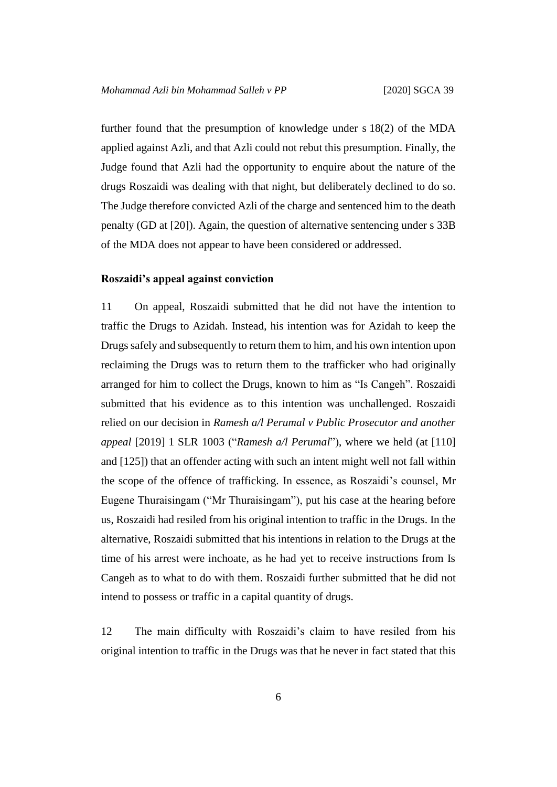further found that the presumption of knowledge under s 18(2) of the MDA applied against Azli, and that Azli could not rebut this presumption. Finally, the Judge found that Azli had the opportunity to enquire about the nature of the drugs Roszaidi was dealing with that night, but deliberately declined to do so. The Judge therefore convicted Azli of the charge and sentenced him to the death penalty (GD at [20]). Again, the question of alternative sentencing under s 33B of the MDA does not appear to have been considered or addressed.

#### **Roszaidi's appeal against conviction**

11 On appeal, Roszaidi submitted that he did not have the intention to traffic the Drugs to Azidah. Instead, his intention was for Azidah to keep the Drugs safely and subsequently to return them to him, and his own intention upon reclaiming the Drugs was to return them to the trafficker who had originally arranged for him to collect the Drugs, known to him as "Is Cangeh". Roszaidi submitted that his evidence as to this intention was unchallenged. Roszaidi relied on our decision in *Ramesh a/l Perumal v Public Prosecutor and another appeal* [2019] 1 SLR 1003 ("*Ramesh a/l Perumal*"), where we held (at [110] and [125]) that an offender acting with such an intent might well not fall within the scope of the offence of trafficking. In essence, as Roszaidi's counsel, Mr Eugene Thuraisingam ("Mr Thuraisingam"), put his case at the hearing before us, Roszaidi had resiled from his original intention to traffic in the Drugs. In the alternative, Roszaidi submitted that his intentions in relation to the Drugs at the time of his arrest were inchoate, as he had yet to receive instructions from Is Cangeh as to what to do with them. Roszaidi further submitted that he did not intend to possess or traffic in a capital quantity of drugs.

12 The main difficulty with Roszaidi's claim to have resiled from his original intention to traffic in the Drugs was that he never in fact stated that this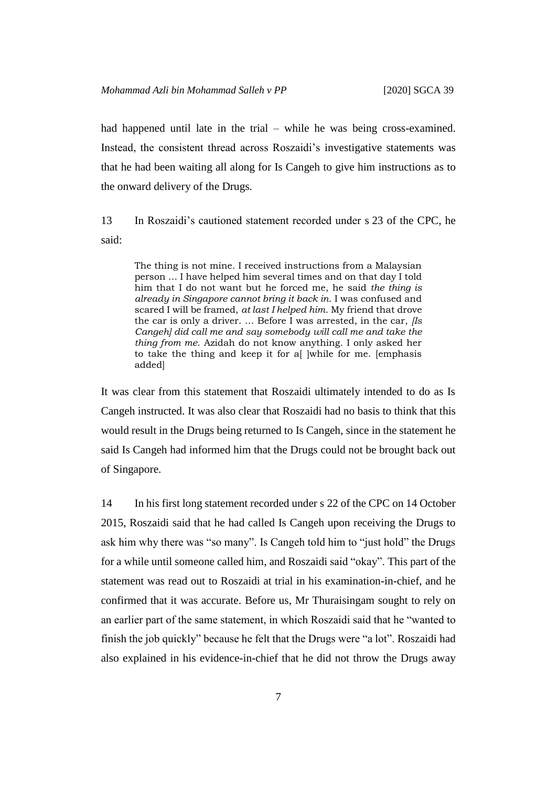had happened until late in the trial – while he was being cross-examined. Instead, the consistent thread across Roszaidi's investigative statements was that he had been waiting all along for Is Cangeh to give him instructions as to the onward delivery of the Drugs.

13 In Roszaidi's cautioned statement recorded under s 23 of the CPC, he said:

The thing is not mine. I received instructions from a Malaysian person … I have helped him several times and on that day I told him that I do not want but he forced me, he said *the thing is already in Singapore cannot bring it back in*. I was confused and scared I will be framed, *at last I helped him*. My friend that drove the car is only a driver. … Before I was arrested, in the car, *[Is Cangeh] did call me and say somebody will call me and take the thing from me*. Azidah do not know anything. I only asked her to take the thing and keep it for a ||while for me. [emphasis] added]

It was clear from this statement that Roszaidi ultimately intended to do as Is Cangeh instructed. It was also clear that Roszaidi had no basis to think that this would result in the Drugs being returned to Is Cangeh, since in the statement he said Is Cangeh had informed him that the Drugs could not be brought back out of Singapore.

14 In his first long statement recorded under s 22 of the CPC on 14 October 2015, Roszaidi said that he had called Is Cangeh upon receiving the Drugs to ask him why there was "so many". Is Cangeh told him to "just hold" the Drugs for a while until someone called him, and Roszaidi said "okay". This part of the statement was read out to Roszaidi at trial in his examination-in-chief, and he confirmed that it was accurate. Before us, Mr Thuraisingam sought to rely on an earlier part of the same statement, in which Roszaidi said that he "wanted to finish the job quickly" because he felt that the Drugs were "a lot". Roszaidi had also explained in his evidence-in-chief that he did not throw the Drugs away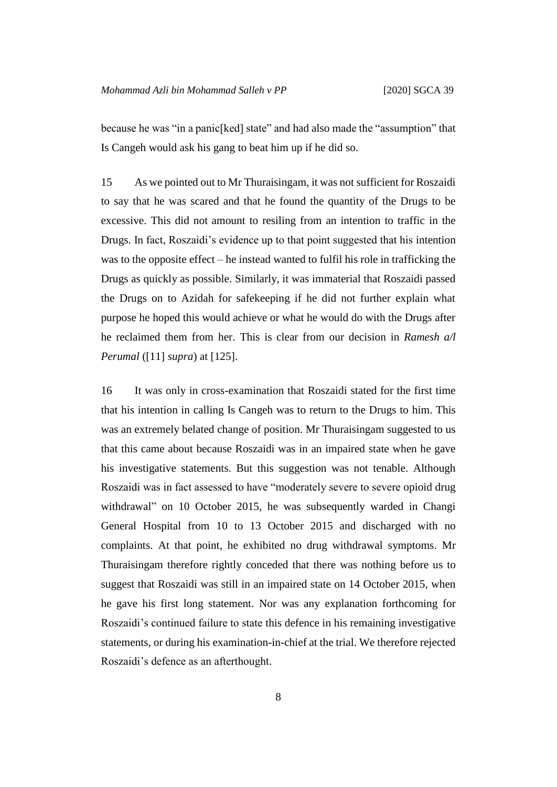because he was "in a panic[ked] state" and had also made the "assumption" that Is Cangeh would ask his gang to beat him up if he did so.

15 As we pointed out to Mr Thuraisingam, it was not sufficient for Roszaidi to say that he was scared and that he found the quantity of the Drugs to be excessive. This did not amount to resiling from an intention to traffic in the Drugs. In fact, Roszaidi's evidence up to that point suggested that his intention was to the opposite effect – he instead wanted to fulfil his role in trafficking the Drugs as quickly as possible. Similarly, it was immaterial that Roszaidi passed the Drugs on to Azidah for safekeeping if he did not further explain what purpose he hoped this would achieve or what he would do with the Drugs after he reclaimed them from her. This is clear from our decision in *Ramesh a/l Perumal* ([11] *supra*) at [125].

16 It was only in cross-examination that Roszaidi stated for the first time that his intention in calling Is Cangeh was to return to the Drugs to him. This was an extremely belated change of position. Mr Thuraisingam suggested to us that this came about because Roszaidi was in an impaired state when he gave his investigative statements. But this suggestion was not tenable. Although Roszaidi was in fact assessed to have "moderately severe to severe opioid drug withdrawal" on 10 October 2015, he was subsequently warded in Changi General Hospital from 10 to 13 October 2015 and discharged with no complaints. At that point, he exhibited no drug withdrawal symptoms. Mr Thuraisingam therefore rightly conceded that there was nothing before us to suggest that Roszaidi was still in an impaired state on 14 October 2015, when he gave his first long statement. Nor was any explanation forthcoming for Roszaidi's continued failure to state this defence in his remaining investigative statements, or during his examination-in-chief at the trial. We therefore rejected Roszaidi's defence as an afterthought.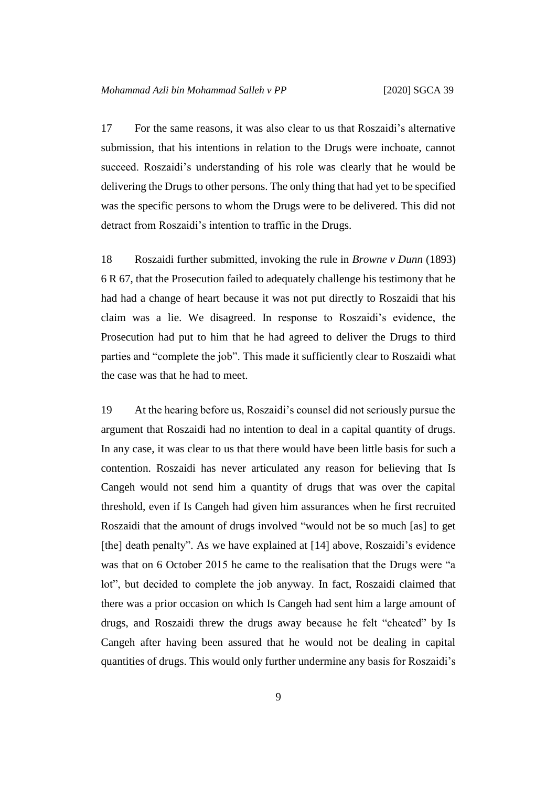17 For the same reasons, it was also clear to us that Roszaidi's alternative submission, that his intentions in relation to the Drugs were inchoate, cannot succeed. Roszaidi's understanding of his role was clearly that he would be delivering the Drugs to other persons. The only thing that had yet to be specified was the specific persons to whom the Drugs were to be delivered. This did not detract from Roszaidi's intention to traffic in the Drugs.

18 Roszaidi further submitted, invoking the rule in *Browne v Dunn* (1893) 6 R 67, that the Prosecution failed to adequately challenge his testimony that he had had a change of heart because it was not put directly to Roszaidi that his claim was a lie. We disagreed. In response to Roszaidi's evidence, the Prosecution had put to him that he had agreed to deliver the Drugs to third parties and "complete the job". This made it sufficiently clear to Roszaidi what the case was that he had to meet.

19 At the hearing before us, Roszaidi's counsel did not seriously pursue the argument that Roszaidi had no intention to deal in a capital quantity of drugs. In any case, it was clear to us that there would have been little basis for such a contention. Roszaidi has never articulated any reason for believing that Is Cangeh would not send him a quantity of drugs that was over the capital threshold, even if Is Cangeh had given him assurances when he first recruited Roszaidi that the amount of drugs involved "would not be so much [as] to get [the] death penalty". As we have explained at [14] above, Roszaidi's evidence was that on 6 October 2015 he came to the realisation that the Drugs were "a lot", but decided to complete the job anyway. In fact, Roszaidi claimed that there was a prior occasion on which Is Cangeh had sent him a large amount of drugs, and Roszaidi threw the drugs away because he felt "cheated" by Is Cangeh after having been assured that he would not be dealing in capital quantities of drugs. This would only further undermine any basis for Roszaidi's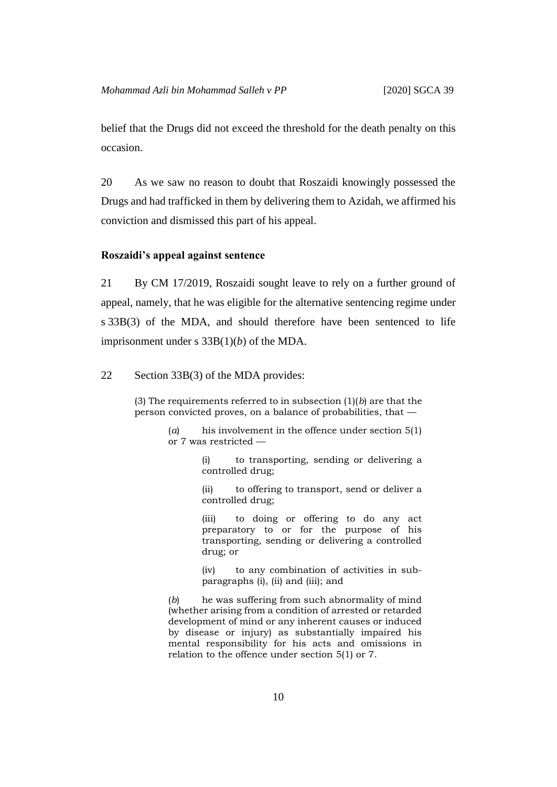belief that the Drugs did not exceed the threshold for the death penalty on this occasion.

20 As we saw no reason to doubt that Roszaidi knowingly possessed the Drugs and had trafficked in them by delivering them to Azidah, we affirmed his conviction and dismissed this part of his appeal.

#### **Roszaidi's appeal against sentence**

21 By CM 17/2019, Roszaidi sought leave to rely on a further ground of appeal, namely, that he was eligible for the alternative sentencing regime under s 33B(3) of the MDA, and should therefore have been sentenced to life imprisonment under s 33B(1)(*b*) of the MDA.

#### 22 Section 33B(3) of the MDA provides:

(3) The requirements referred to in subsection (1)(*b*) are that the person convicted proves, on a balance of probabilities, that —

> (*a*) his involvement in the offence under section 5(1) or 7 was restricted —

> > (i) to transporting, sending or delivering a controlled drug;

> > (ii) to offering to transport, send or deliver a controlled drug;

> > (iii) to doing or offering to do any act preparatory to or for the purpose of his transporting, sending or delivering a controlled drug; or

> > (iv) to any combination of activities in subparagraphs (i), (ii) and (iii); and

(*b*) he was suffering from such abnormality of mind (whether arising from a condition of arrested or retarded development of mind or any inherent causes or induced by disease or injury) as substantially impaired his mental responsibility for his acts and omissions in relation to the offence under section 5(1) or 7.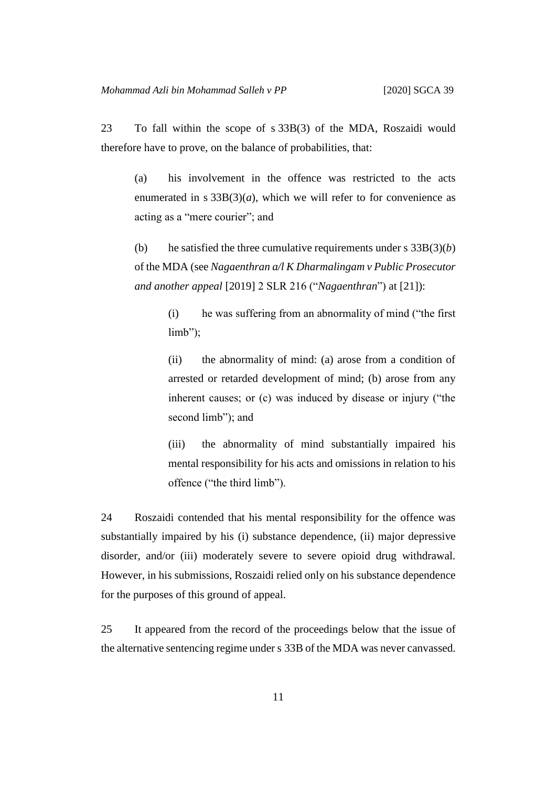23 To fall within the scope of s 33B(3) of the MDA, Roszaidi would therefore have to prove, on the balance of probabilities, that:

(a) his involvement in the offence was restricted to the acts enumerated in s  $33B(3)(a)$ , which we will refer to for convenience as acting as a "mere courier"; and

(b) he satisfied the three cumulative requirements under s  $33B(3)(b)$ of the MDA (see *Nagaenthran a/l K Dharmalingam v Public Prosecutor and another appeal* [2019] 2 SLR 216 ("*Nagaenthran*") at [21]):

> (i) he was suffering from an abnormality of mind ("the first limb");

> (ii) the abnormality of mind: (a) arose from a condition of arrested or retarded development of mind; (b) arose from any inherent causes; or (c) was induced by disease or injury ("the second limb"); and

> (iii) the abnormality of mind substantially impaired his mental responsibility for his acts and omissions in relation to his offence ("the third limb").

24 Roszaidi contended that his mental responsibility for the offence was substantially impaired by his (i) substance dependence, (ii) major depressive disorder, and/or (iii) moderately severe to severe opioid drug withdrawal. However, in his submissions, Roszaidi relied only on his substance dependence for the purposes of this ground of appeal.

25 It appeared from the record of the proceedings below that the issue of the alternative sentencing regime under s 33B of the MDA was never canvassed.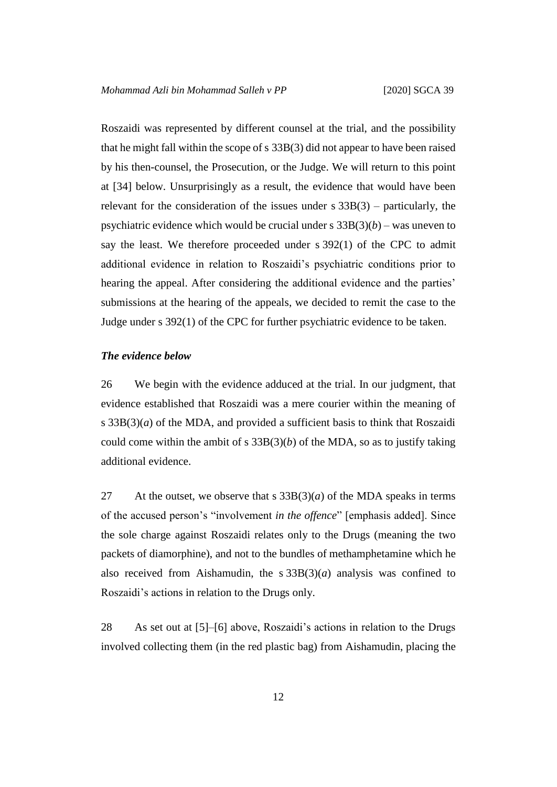Roszaidi was represented by different counsel at the trial, and the possibility that he might fall within the scope of s 33B(3) did not appear to have been raised by his then-counsel, the Prosecution, or the Judge. We will return to this point at [34] below. Unsurprisingly as a result, the evidence that would have been relevant for the consideration of the issues under  $s$  33B(3) – particularly, the psychiatric evidence which would be crucial under s  $33B(3)(b)$  – was uneven to say the least. We therefore proceeded under s 392(1) of the CPC to admit additional evidence in relation to Roszaidi's psychiatric conditions prior to hearing the appeal. After considering the additional evidence and the parties' submissions at the hearing of the appeals, we decided to remit the case to the Judge under s 392(1) of the CPC for further psychiatric evidence to be taken.

#### *The evidence below*

26 We begin with the evidence adduced at the trial. In our judgment, that evidence established that Roszaidi was a mere courier within the meaning of s  $33B(3)(a)$  of the MDA, and provided a sufficient basis to think that Roszaidi could come within the ambit of s  $33B(3)(b)$  of the MDA, so as to justify taking additional evidence.

27 At the outset, we observe that s  $33B(3)(a)$  of the MDA speaks in terms of the accused person's "involvement *in the offence*" [emphasis added]. Since the sole charge against Roszaidi relates only to the Drugs (meaning the two packets of diamorphine), and not to the bundles of methamphetamine which he also received from Aishamudin, the s 33B(3)(*a*) analysis was confined to Roszaidi's actions in relation to the Drugs only.

28 As set out at [5]–[6] above, Roszaidi's actions in relation to the Drugs involved collecting them (in the red plastic bag) from Aishamudin, placing the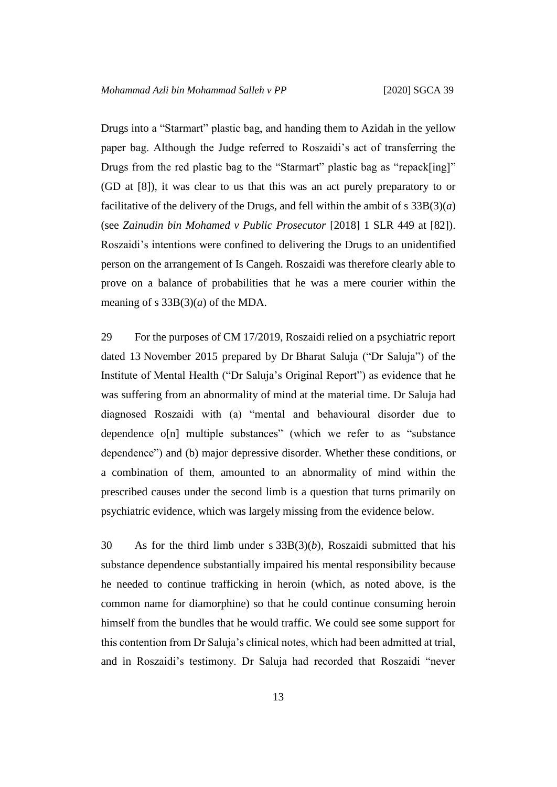Drugs into a "Starmart" plastic bag, and handing them to Azidah in the yellow paper bag. Although the Judge referred to Roszaidi's act of transferring the Drugs from the red plastic bag to the "Starmart" plastic bag as "repack[ing]" (GD at [8]), it was clear to us that this was an act purely preparatory to or facilitative of the delivery of the Drugs, and fell within the ambit of s  $33B(3)(a)$ (see *Zainudin bin Mohamed v Public Prosecutor* [2018] 1 SLR 449 at [82]). Roszaidi's intentions were confined to delivering the Drugs to an unidentified person on the arrangement of Is Cangeh. Roszaidi was therefore clearly able to prove on a balance of probabilities that he was a mere courier within the meaning of s  $33B(3)(a)$  of the MDA.

29 For the purposes of CM 17/2019, Roszaidi relied on a psychiatric report dated 13 November 2015 prepared by Dr Bharat Saluja ("Dr Saluja") of the Institute of Mental Health ("Dr Saluja's Original Report") as evidence that he was suffering from an abnormality of mind at the material time. Dr Saluja had diagnosed Roszaidi with (a) "mental and behavioural disorder due to dependence o[n] multiple substances" (which we refer to as "substance dependence") and (b) major depressive disorder. Whether these conditions, or a combination of them, amounted to an abnormality of mind within the prescribed causes under the second limb is a question that turns primarily on psychiatric evidence, which was largely missing from the evidence below.

30 As for the third limb under s 33B(3)(*b*), Roszaidi submitted that his substance dependence substantially impaired his mental responsibility because he needed to continue trafficking in heroin (which, as noted above, is the common name for diamorphine) so that he could continue consuming heroin himself from the bundles that he would traffic. We could see some support for this contention from Dr Saluja's clinical notes, which had been admitted at trial, and in Roszaidi's testimony. Dr Saluja had recorded that Roszaidi "never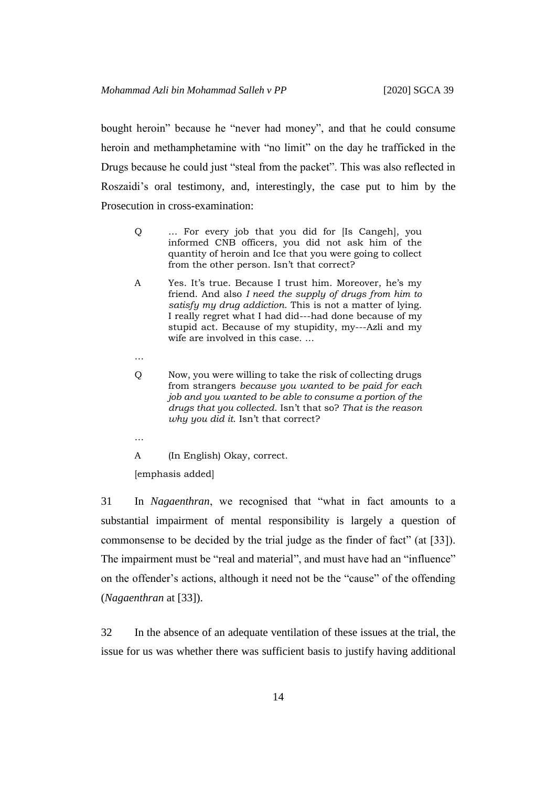bought heroin" because he "never had money", and that he could consume heroin and methamphetamine with "no limit" on the day he trafficked in the Drugs because he could just "steal from the packet". This was also reflected in Roszaidi's oral testimony, and, interestingly, the case put to him by the Prosecution in cross-examination:

- Q … For every job that you did for [Is Cangeh], you informed CNB officers, you did not ask him of the quantity of heroin and Ice that you were going to collect from the other person. Isn't that correct?
- A Yes. It's true. Because I trust him. Moreover, he's my friend. And also *I need the supply of drugs from him to satisfy my drug addiction*. This is not a matter of lying. I really regret what I had did---had done because of my stupid act. Because of my stupidity, my---Azli and my wife are involved in this case. …
- …
- Q Now, you were willing to take the risk of collecting drugs from strangers *because you wanted to be paid for each job and you wanted to be able to consume a portion of the drugs that you collected*. Isn't that so? *That is the reason why you did it*. Isn't that correct?
- …

A (In English) Okay, correct.

[emphasis added]

31 In *Nagaenthran*, we recognised that "what in fact amounts to a substantial impairment of mental responsibility is largely a question of commonsense to be decided by the trial judge as the finder of fact" (at [33]). The impairment must be "real and material", and must have had an "influence" on the offender's actions, although it need not be the "cause" of the offending (*Nagaenthran* at [33]).

32 In the absence of an adequate ventilation of these issues at the trial, the issue for us was whether there was sufficient basis to justify having additional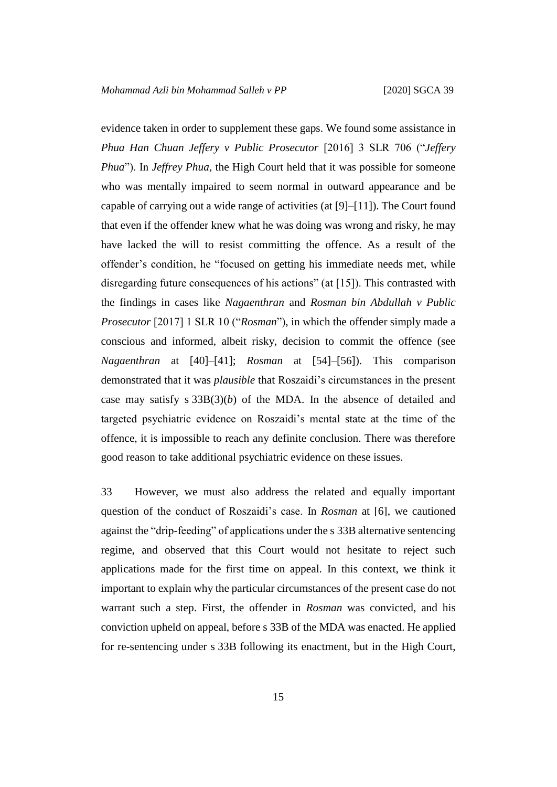evidence taken in order to supplement these gaps. We found some assistance in *Phua Han Chuan Jeffery v Public Prosecutor* [2016] 3 SLR 706 ("*Jeffery Phua*"). In *Jeffrey Phua*, the High Court held that it was possible for someone who was mentally impaired to seem normal in outward appearance and be capable of carrying out a wide range of activities (at [9]–[11]). The Court found that even if the offender knew what he was doing was wrong and risky, he may have lacked the will to resist committing the offence. As a result of the offender's condition, he "focused on getting his immediate needs met, while disregarding future consequences of his actions" (at [15]). This contrasted with the findings in cases like *Nagaenthran* and *Rosman bin Abdullah v Public Prosecutor* [2017] 1 SLR 10 ("*Rosman*"), in which the offender simply made a conscious and informed, albeit risky, decision to commit the offence (see *Nagaenthran* at [40]–[41]; *Rosman* at [54]–[56]). This comparison demonstrated that it was *plausible* that Roszaidi's circumstances in the present case may satisfy s  $33B(3)(b)$  of the MDA. In the absence of detailed and targeted psychiatric evidence on Roszaidi's mental state at the time of the offence, it is impossible to reach any definite conclusion. There was therefore good reason to take additional psychiatric evidence on these issues.

33 However, we must also address the related and equally important question of the conduct of Roszaidi's case. In *Rosman* at [6], we cautioned against the "drip-feeding" of applications under the s 33B alternative sentencing regime, and observed that this Court would not hesitate to reject such applications made for the first time on appeal. In this context, we think it important to explain why the particular circumstances of the present case do not warrant such a step. First, the offender in *Rosman* was convicted, and his conviction upheld on appeal, before s 33B of the MDA was enacted. He applied for re-sentencing under s 33B following its enactment, but in the High Court,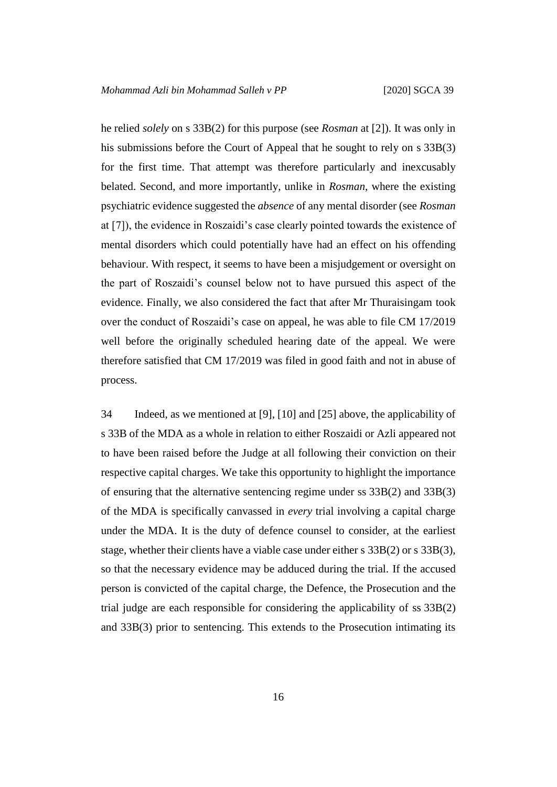he relied *solely* on s 33B(2) for this purpose (see *Rosman* at [2]). It was only in his submissions before the Court of Appeal that he sought to rely on s 33B(3) for the first time. That attempt was therefore particularly and inexcusably belated. Second, and more importantly, unlike in *Rosman*, where the existing psychiatric evidence suggested the *absence* of any mental disorder (see *Rosman* at [7]), the evidence in Roszaidi's case clearly pointed towards the existence of mental disorders which could potentially have had an effect on his offending behaviour. With respect, it seems to have been a misjudgement or oversight on the part of Roszaidi's counsel below not to have pursued this aspect of the evidence. Finally, we also considered the fact that after Mr Thuraisingam took over the conduct of Roszaidi's case on appeal, he was able to file CM 17/2019 well before the originally scheduled hearing date of the appeal. We were therefore satisfied that CM 17/2019 was filed in good faith and not in abuse of process.

34 Indeed, as we mentioned at [9], [10] and [25] above, the applicability of s 33B of the MDA as a whole in relation to either Roszaidi or Azli appeared not to have been raised before the Judge at all following their conviction on their respective capital charges. We take this opportunity to highlight the importance of ensuring that the alternative sentencing regime under ss 33B(2) and 33B(3) of the MDA is specifically canvassed in *every* trial involving a capital charge under the MDA. It is the duty of defence counsel to consider, at the earliest stage, whether their clients have a viable case under either s 33B(2) or s 33B(3), so that the necessary evidence may be adduced during the trial. If the accused person is convicted of the capital charge, the Defence, the Prosecution and the trial judge are each responsible for considering the applicability of ss 33B(2) and 33B(3) prior to sentencing. This extends to the Prosecution intimating its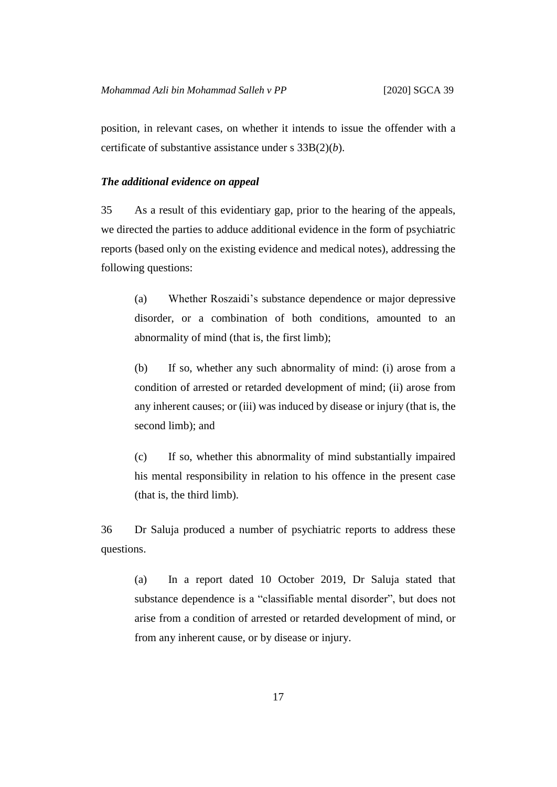position, in relevant cases, on whether it intends to issue the offender with a certificate of substantive assistance under s 33B(2)(*b*).

#### *The additional evidence on appeal*

35 As a result of this evidentiary gap, prior to the hearing of the appeals, we directed the parties to adduce additional evidence in the form of psychiatric reports (based only on the existing evidence and medical notes), addressing the following questions:

(a) Whether Roszaidi's substance dependence or major depressive disorder, or a combination of both conditions, amounted to an abnormality of mind (that is, the first limb);

(b) If so, whether any such abnormality of mind: (i) arose from a condition of arrested or retarded development of mind; (ii) arose from any inherent causes; or (iii) was induced by disease or injury (that is, the second limb); and

(c) If so, whether this abnormality of mind substantially impaired his mental responsibility in relation to his offence in the present case (that is, the third limb).

36 Dr Saluja produced a number of psychiatric reports to address these questions.

(a) In a report dated 10 October 2019, Dr Saluja stated that substance dependence is a "classifiable mental disorder", but does not arise from a condition of arrested or retarded development of mind, or from any inherent cause, or by disease or injury.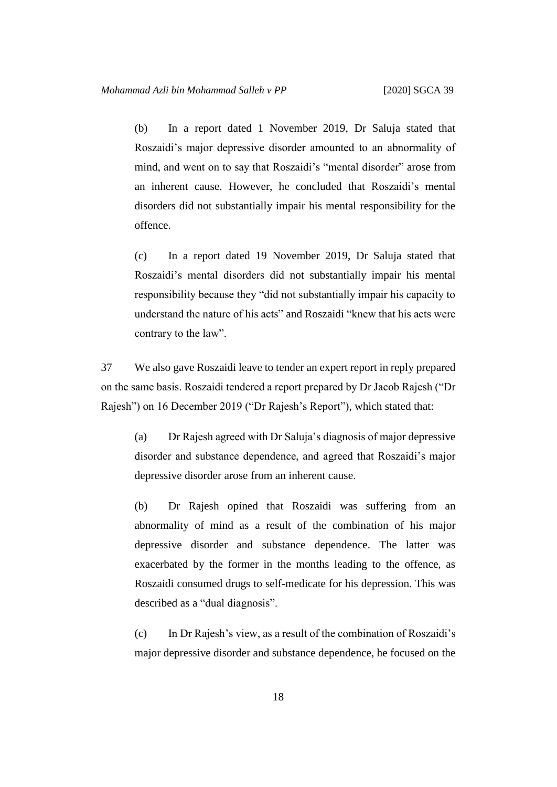(b) In a report dated 1 November 2019, Dr Saluja stated that Roszaidi's major depressive disorder amounted to an abnormality of mind, and went on to say that Roszaidi's "mental disorder" arose from an inherent cause. However, he concluded that Roszaidi's mental disorders did not substantially impair his mental responsibility for the offence.

(c) In a report dated 19 November 2019, Dr Saluja stated that Roszaidi's mental disorders did not substantially impair his mental responsibility because they "did not substantially impair his capacity to understand the nature of his acts" and Roszaidi "knew that his acts were contrary to the law".

37 We also gave Roszaidi leave to tender an expert report in reply prepared on the same basis. Roszaidi tendered a report prepared by Dr Jacob Rajesh ("Dr Rajesh") on 16 December 2019 ("Dr Rajesh's Report"), which stated that:

(a) Dr Rajesh agreed with Dr Saluja's diagnosis of major depressive disorder and substance dependence, and agreed that Roszaidi's major depressive disorder arose from an inherent cause.

(b) Dr Rajesh opined that Roszaidi was suffering from an abnormality of mind as a result of the combination of his major depressive disorder and substance dependence. The latter was exacerbated by the former in the months leading to the offence, as Roszaidi consumed drugs to self-medicate for his depression. This was described as a "dual diagnosis".

(c) In Dr Rajesh's view, as a result of the combination of Roszaidi's major depressive disorder and substance dependence, he focused on the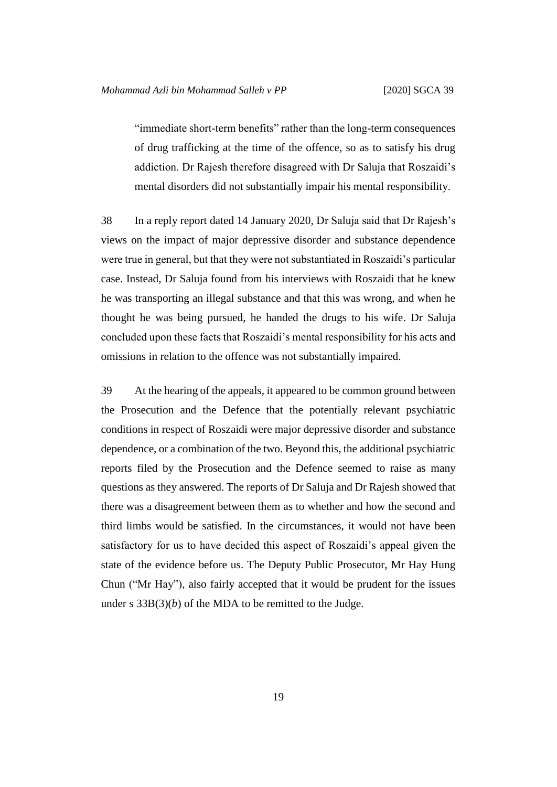"immediate short-term benefits" rather than the long-term consequences of drug trafficking at the time of the offence, so as to satisfy his drug addiction. Dr Rajesh therefore disagreed with Dr Saluja that Roszaidi's mental disorders did not substantially impair his mental responsibility.

38 In a reply report dated 14 January 2020, Dr Saluja said that Dr Rajesh's views on the impact of major depressive disorder and substance dependence were true in general, but that they were not substantiated in Roszaidi's particular case. Instead, Dr Saluja found from his interviews with Roszaidi that he knew he was transporting an illegal substance and that this was wrong, and when he thought he was being pursued, he handed the drugs to his wife. Dr Saluja concluded upon these facts that Roszaidi's mental responsibility for his acts and omissions in relation to the offence was not substantially impaired.

39 At the hearing of the appeals, it appeared to be common ground between the Prosecution and the Defence that the potentially relevant psychiatric conditions in respect of Roszaidi were major depressive disorder and substance dependence, or a combination of the two. Beyond this, the additional psychiatric reports filed by the Prosecution and the Defence seemed to raise as many questions as they answered. The reports of Dr Saluja and Dr Rajesh showed that there was a disagreement between them as to whether and how the second and third limbs would be satisfied. In the circumstances, it would not have been satisfactory for us to have decided this aspect of Roszaidi's appeal given the state of the evidence before us. The Deputy Public Prosecutor, Mr Hay Hung Chun ("Mr Hay"), also fairly accepted that it would be prudent for the issues under s 33B(3)(*b*) of the MDA to be remitted to the Judge.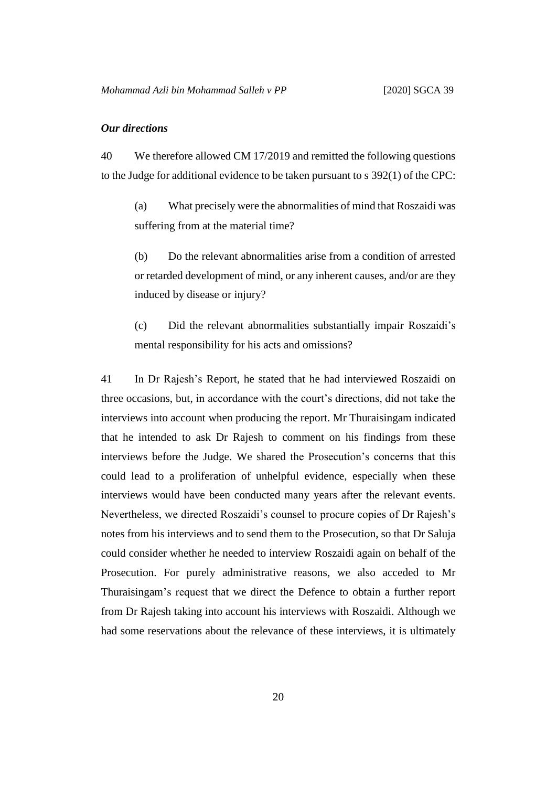### *Our directions*

40 We therefore allowed CM 17/2019 and remitted the following questions to the Judge for additional evidence to be taken pursuant to s 392(1) of the CPC:

(a) What precisely were the abnormalities of mind that Roszaidi was suffering from at the material time?

(b) Do the relevant abnormalities arise from a condition of arrested or retarded development of mind, or any inherent causes, and/or are they induced by disease or injury?

(c) Did the relevant abnormalities substantially impair Roszaidi's mental responsibility for his acts and omissions?

41 In Dr Rajesh's Report, he stated that he had interviewed Roszaidi on three occasions, but, in accordance with the court's directions, did not take the interviews into account when producing the report. Mr Thuraisingam indicated that he intended to ask Dr Rajesh to comment on his findings from these interviews before the Judge. We shared the Prosecution's concerns that this could lead to a proliferation of unhelpful evidence, especially when these interviews would have been conducted many years after the relevant events. Nevertheless, we directed Roszaidi's counsel to procure copies of Dr Rajesh's notes from his interviews and to send them to the Prosecution, so that Dr Saluja could consider whether he needed to interview Roszaidi again on behalf of the Prosecution. For purely administrative reasons, we also acceded to Mr Thuraisingam's request that we direct the Defence to obtain a further report from Dr Rajesh taking into account his interviews with Roszaidi. Although we had some reservations about the relevance of these interviews, it is ultimately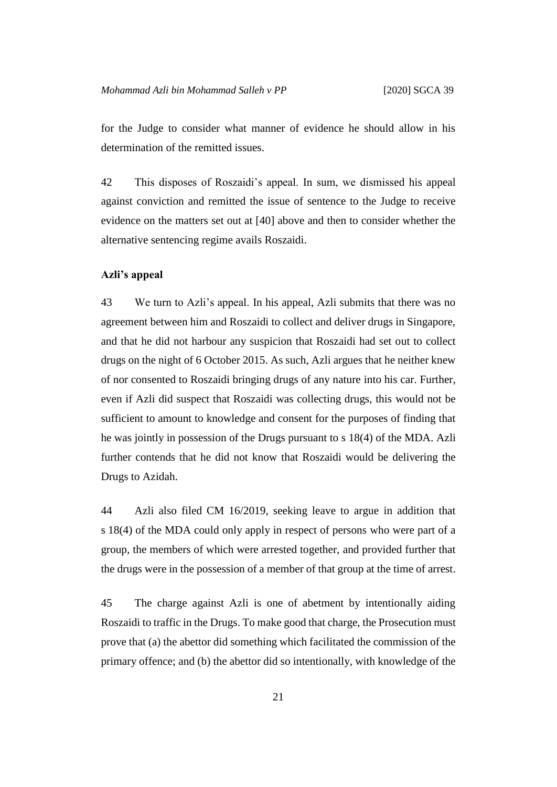for the Judge to consider what manner of evidence he should allow in his determination of the remitted issues.

42 This disposes of Roszaidi's appeal. In sum, we dismissed his appeal against conviction and remitted the issue of sentence to the Judge to receive evidence on the matters set out at [40] above and then to consider whether the alternative sentencing regime avails Roszaidi.

#### **Azli's appeal**

43 We turn to Azli's appeal. In his appeal, Azli submits that there was no agreement between him and Roszaidi to collect and deliver drugs in Singapore, and that he did not harbour any suspicion that Roszaidi had set out to collect drugs on the night of 6 October 2015. As such, Azli argues that he neither knew of nor consented to Roszaidi bringing drugs of any nature into his car. Further, even if Azli did suspect that Roszaidi was collecting drugs, this would not be sufficient to amount to knowledge and consent for the purposes of finding that he was jointly in possession of the Drugs pursuant to s 18(4) of the MDA. Azli further contends that he did not know that Roszaidi would be delivering the Drugs to Azidah.

44 Azli also filed CM 16/2019, seeking leave to argue in addition that s 18(4) of the MDA could only apply in respect of persons who were part of a group, the members of which were arrested together, and provided further that the drugs were in the possession of a member of that group at the time of arrest.

45 The charge against Azli is one of abetment by intentionally aiding Roszaidi to traffic in the Drugs. To make good that charge, the Prosecution must prove that (a) the abettor did something which facilitated the commission of the primary offence; and (b) the abettor did so intentionally, with knowledge of the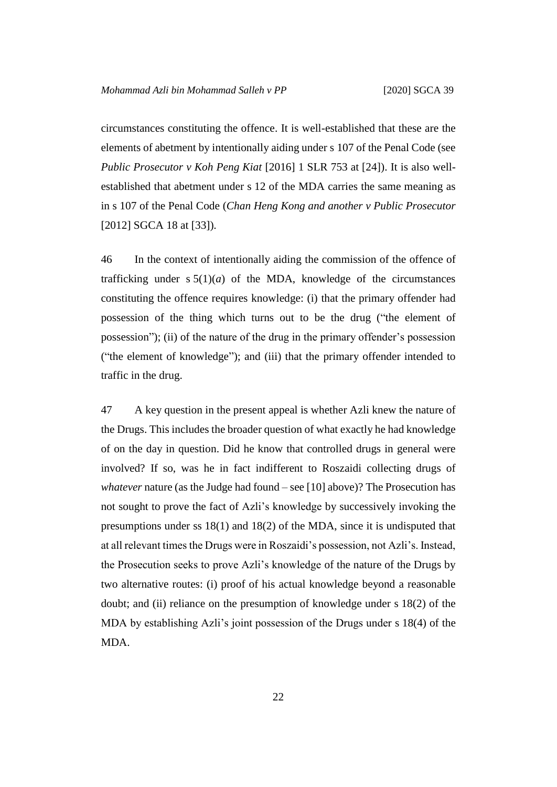circumstances constituting the offence. It is well-established that these are the elements of abetment by intentionally aiding under s 107 of the Penal Code (see *Public Prosecutor v Koh Peng Kiat* [2016] 1 SLR 753 at [24]). It is also wellestablished that abetment under s 12 of the MDA carries the same meaning as in s 107 of the Penal Code (*Chan Heng Kong and another v Public Prosecutor* [2012] SGCA 18 at [33]).

46 In the context of intentionally aiding the commission of the offence of trafficking under  $s 5(1)(a)$  of the MDA, knowledge of the circumstances constituting the offence requires knowledge: (i) that the primary offender had possession of the thing which turns out to be the drug ("the element of possession"); (ii) of the nature of the drug in the primary offender's possession ("the element of knowledge"); and (iii) that the primary offender intended to traffic in the drug.

47 A key question in the present appeal is whether Azli knew the nature of the Drugs. This includes the broader question of what exactly he had knowledge of on the day in question. Did he know that controlled drugs in general were involved? If so, was he in fact indifferent to Roszaidi collecting drugs of *whatever* nature (as the Judge had found – see [10] above)? The Prosecution has not sought to prove the fact of Azli's knowledge by successively invoking the presumptions under ss 18(1) and 18(2) of the MDA, since it is undisputed that at all relevant times the Drugs were in Roszaidi's possession, not Azli's. Instead, the Prosecution seeks to prove Azli's knowledge of the nature of the Drugs by two alternative routes: (i) proof of his actual knowledge beyond a reasonable doubt; and (ii) reliance on the presumption of knowledge under s 18(2) of the MDA by establishing Azli's joint possession of the Drugs under s 18(4) of the MDA.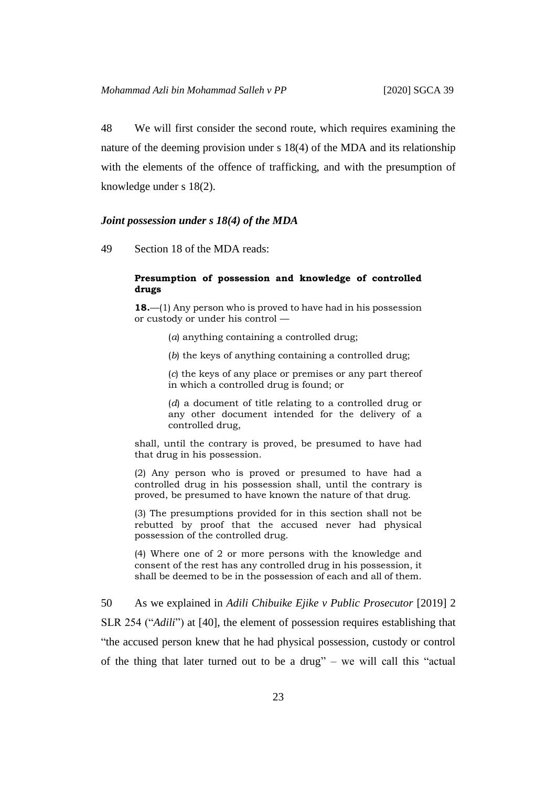48 We will first consider the second route, which requires examining the nature of the deeming provision under s 18(4) of the MDA and its relationship with the elements of the offence of trafficking, and with the presumption of knowledge under s 18(2).

#### *Joint possession under s 18(4) of the MDA*

49 Section 18 of the MDA reads:

#### **Presumption of possession and knowledge of controlled drugs**

**18.**—(1) Any person who is proved to have had in his possession or custody or under his control —

- (*a*) anything containing a controlled drug;
- (*b*) the keys of anything containing a controlled drug;

(*c*) the keys of any place or premises or any part thereof in which a controlled drug is found; or

(*d*) a document of title relating to a controlled drug or any other document intended for the delivery of a controlled drug,

shall, until the contrary is proved, be presumed to have had that drug in his possession.

(2) Any person who is proved or presumed to have had a controlled drug in his possession shall, until the contrary is proved, be presumed to have known the nature of that drug.

(3) The presumptions provided for in this section shall not be rebutted by proof that the accused never had physical possession of the controlled drug.

(4) Where one of 2 or more persons with the knowledge and consent of the rest has any controlled drug in his possession, it shall be deemed to be in the possession of each and all of them.

50 As we explained in *Adili Chibuike Ejike v Public Prosecutor* [2019] 2 SLR 254 ("*Adili*") at [40], the element of possession requires establishing that "the accused person knew that he had physical possession, custody or control of the thing that later turned out to be a drug" – we will call this "actual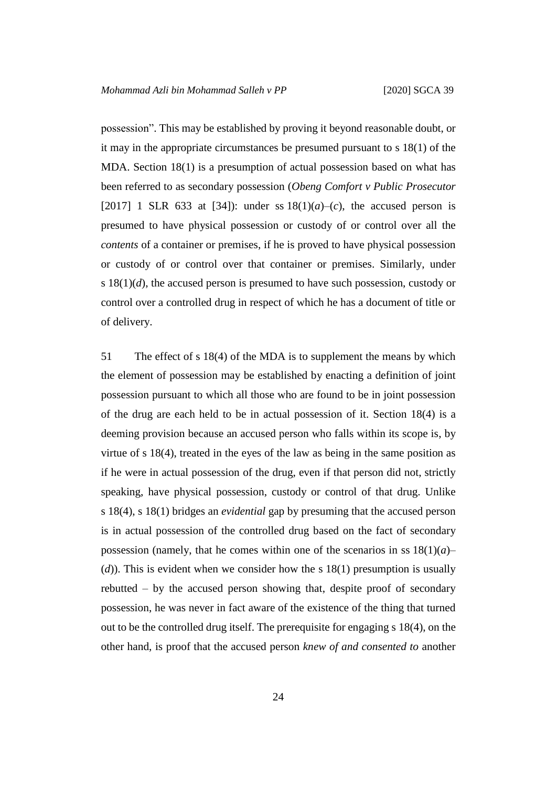possession". This may be established by proving it beyond reasonable doubt, or it may in the appropriate circumstances be presumed pursuant to s 18(1) of the MDA. Section 18(1) is a presumption of actual possession based on what has been referred to as secondary possession (*Obeng Comfort v Public Prosecutor* [2017] 1 SLR 633 at [34]): under ss  $18(1)(a)-(c)$ , the accused person is presumed to have physical possession or custody of or control over all the *contents* of a container or premises, if he is proved to have physical possession or custody of or control over that container or premises. Similarly, under s 18(1)(*d*), the accused person is presumed to have such possession, custody or control over a controlled drug in respect of which he has a document of title or of delivery.

51 The effect of s 18(4) of the MDA is to supplement the means by which the element of possession may be established by enacting a definition of joint possession pursuant to which all those who are found to be in joint possession of the drug are each held to be in actual possession of it. Section 18(4) is a deeming provision because an accused person who falls within its scope is, by virtue of s 18(4), treated in the eyes of the law as being in the same position as if he were in actual possession of the drug, even if that person did not, strictly speaking, have physical possession, custody or control of that drug. Unlike s 18(4), s 18(1) bridges an *evidential* gap by presuming that the accused person is in actual possession of the controlled drug based on the fact of secondary possession (namely, that he comes within one of the scenarios in ss  $18(1)(a)$ – (*d*)). This is evident when we consider how the s 18(1) presumption is usually rebutted – by the accused person showing that, despite proof of secondary possession, he was never in fact aware of the existence of the thing that turned out to be the controlled drug itself. The prerequisite for engaging s 18(4), on the other hand, is proof that the accused person *knew of and consented to* another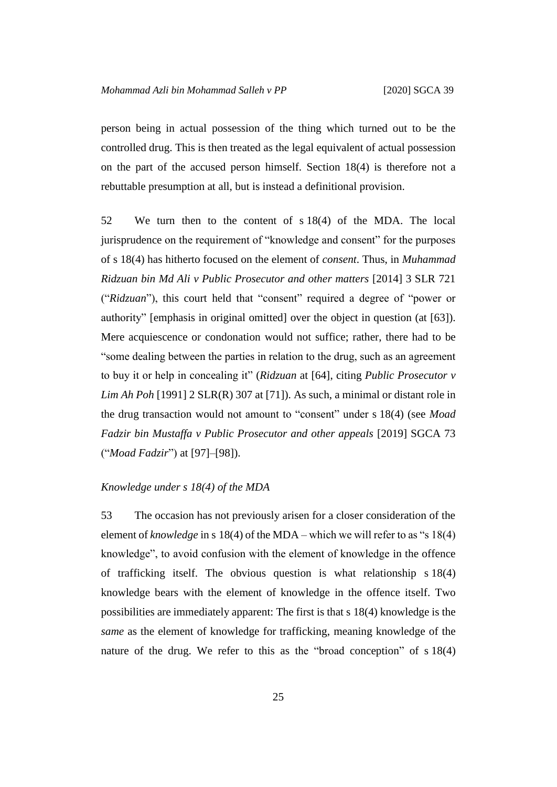person being in actual possession of the thing which turned out to be the controlled drug. This is then treated as the legal equivalent of actual possession on the part of the accused person himself. Section 18(4) is therefore not a rebuttable presumption at all, but is instead a definitional provision.

52 We turn then to the content of s 18(4) of the MDA. The local jurisprudence on the requirement of "knowledge and consent" for the purposes of s 18(4) has hitherto focused on the element of *consent*. Thus, in *Muhammad Ridzuan bin Md Ali v Public Prosecutor and other matters* [2014] 3 SLR 721 ("*Ridzuan*"), this court held that "consent" required a degree of "power or authority" [emphasis in original omitted] over the object in question (at [63]). Mere acquiescence or condonation would not suffice; rather, there had to be "some dealing between the parties in relation to the drug, such as an agreement to buy it or help in concealing it" (*Ridzuan* at [64], citing *Public Prosecutor v Lim Ah Poh* [1991] 2 SLR(R) 307 at [71]). As such, a minimal or distant role in the drug transaction would not amount to "consent" under s 18(4) (see *Moad Fadzir bin Mustaffa v Public Prosecutor and other appeals* [2019] SGCA 73 ("*Moad Fadzir*") at [97]–[98]).

#### *Knowledge under s 18(4) of the MDA*

53 The occasion has not previously arisen for a closer consideration of the element of *knowledge* in s 18(4) of the MDA – which we will refer to as "s 18(4) knowledge", to avoid confusion with the element of knowledge in the offence of trafficking itself. The obvious question is what relationship s 18(4) knowledge bears with the element of knowledge in the offence itself. Two possibilities are immediately apparent: The first is that s 18(4) knowledge is the *same* as the element of knowledge for trafficking, meaning knowledge of the nature of the drug. We refer to this as the "broad conception" of s 18(4)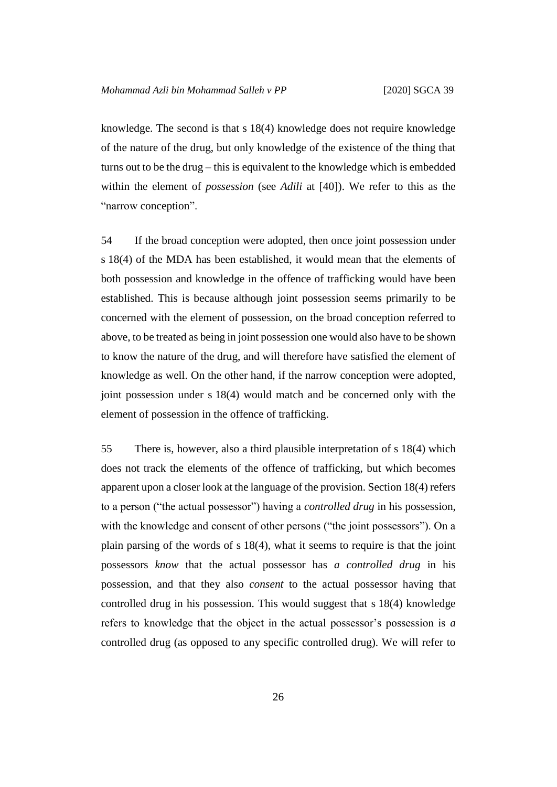knowledge. The second is that s 18(4) knowledge does not require knowledge of the nature of the drug, but only knowledge of the existence of the thing that turns out to be the drug – this is equivalent to the knowledge which is embedded within the element of *possession* (see *Adili* at [40]). We refer to this as the "narrow conception".

54 If the broad conception were adopted, then once joint possession under s 18(4) of the MDA has been established, it would mean that the elements of both possession and knowledge in the offence of trafficking would have been established. This is because although joint possession seems primarily to be concerned with the element of possession, on the broad conception referred to above, to be treated as being in joint possession one would also have to be shown to know the nature of the drug, and will therefore have satisfied the element of knowledge as well. On the other hand, if the narrow conception were adopted, joint possession under s 18(4) would match and be concerned only with the element of possession in the offence of trafficking.

55 There is, however, also a third plausible interpretation of s 18(4) which does not track the elements of the offence of trafficking, but which becomes apparent upon a closer look at the language of the provision. Section 18(4) refers to a person ("the actual possessor") having a *controlled drug* in his possession, with the knowledge and consent of other persons ("the joint possessors"). On a plain parsing of the words of s 18(4), what it seems to require is that the joint possessors *know* that the actual possessor has *a controlled drug* in his possession, and that they also *consent* to the actual possessor having that controlled drug in his possession. This would suggest that s 18(4) knowledge refers to knowledge that the object in the actual possessor's possession is *a* controlled drug (as opposed to any specific controlled drug). We will refer to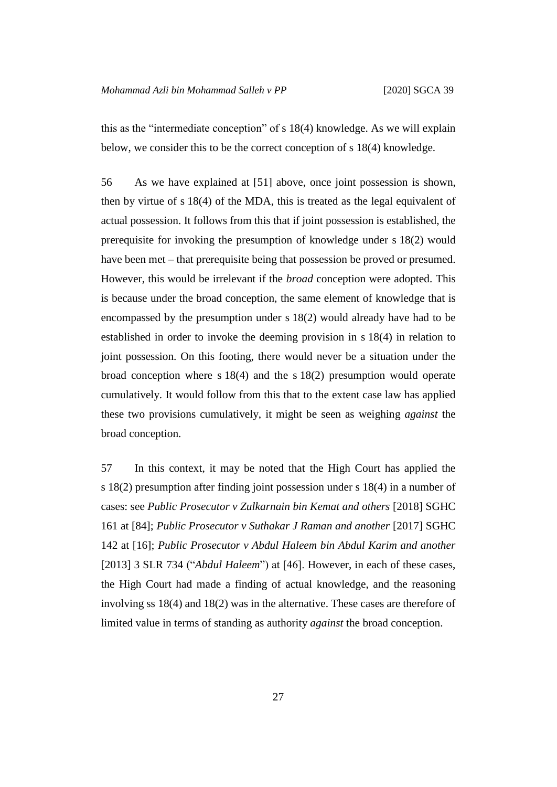this as the "intermediate conception" of s 18(4) knowledge. As we will explain below, we consider this to be the correct conception of s 18(4) knowledge.

56 As we have explained at [51] above, once joint possession is shown, then by virtue of s 18(4) of the MDA, this is treated as the legal equivalent of actual possession. It follows from this that if joint possession is established, the prerequisite for invoking the presumption of knowledge under s 18(2) would have been met – that prerequisite being that possession be proved or presumed. However, this would be irrelevant if the *broad* conception were adopted. This is because under the broad conception, the same element of knowledge that is encompassed by the presumption under s 18(2) would already have had to be established in order to invoke the deeming provision in s 18(4) in relation to joint possession. On this footing, there would never be a situation under the broad conception where s 18(4) and the s 18(2) presumption would operate cumulatively. It would follow from this that to the extent case law has applied these two provisions cumulatively, it might be seen as weighing *against* the broad conception.

57 In this context, it may be noted that the High Court has applied the s 18(2) presumption after finding joint possession under s 18(4) in a number of cases: see *Public Prosecutor v Zulkarnain bin Kemat and others* [2018] SGHC 161 at [84]; *Public Prosecutor v Suthakar J Raman and another* [2017] SGHC 142 at [16]; *Public Prosecutor v Abdul Haleem bin Abdul Karim and another* [2013] 3 SLR 734 ("*Abdul Haleem*") at [46]. However, in each of these cases, the High Court had made a finding of actual knowledge, and the reasoning involving ss 18(4) and 18(2) was in the alternative. These cases are therefore of limited value in terms of standing as authority *against* the broad conception.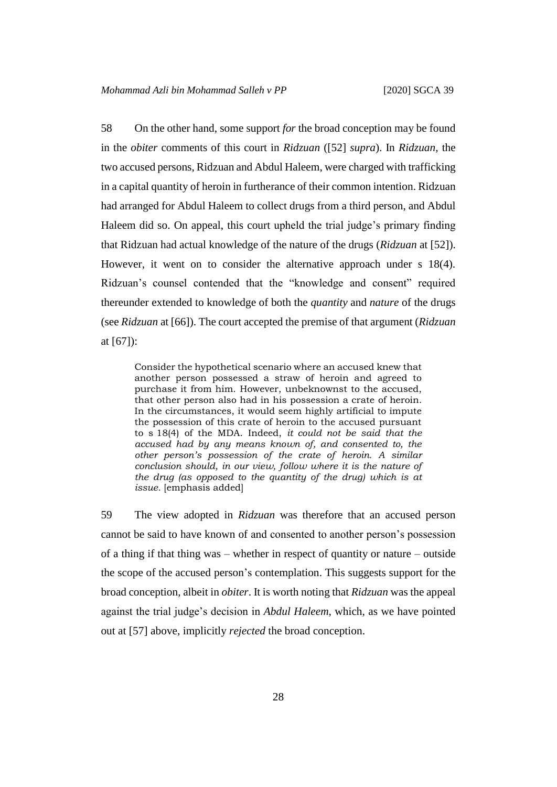58 On the other hand, some support *for* the broad conception may be found in the *obiter* comments of this court in *Ridzuan* ([52] *supra*). In *Ridzuan*, the two accused persons, Ridzuan and Abdul Haleem, were charged with trafficking in a capital quantity of heroin in furtherance of their common intention. Ridzuan had arranged for Abdul Haleem to collect drugs from a third person, and Abdul Haleem did so. On appeal, this court upheld the trial judge's primary finding that Ridzuan had actual knowledge of the nature of the drugs (*Ridzuan* at [52]). However, it went on to consider the alternative approach under s 18(4). Ridzuan's counsel contended that the "knowledge and consent" required thereunder extended to knowledge of both the *quantity* and *nature* of the drugs (see *Ridzuan* at [66]). The court accepted the premise of that argument (*Ridzuan* at [67]):

Consider the hypothetical scenario where an accused knew that another person possessed a straw of heroin and agreed to purchase it from him. However, unbeknownst to the accused, that other person also had in his possession a crate of heroin. In the circumstances, it would seem highly artificial to impute the possession of this crate of heroin to the accused pursuant to s 18(4) of the MDA. Indeed, *it could not be said that the accused had by any means known of, and consented to, the other person's possession of the crate of heroin. A similar conclusion should, in our view, follow where it is the nature of the drug (as opposed to the quantity of the drug) which is at issue.* [emphasis added]

59 The view adopted in *Ridzuan* was therefore that an accused person cannot be said to have known of and consented to another person's possession of a thing if that thing was – whether in respect of quantity or nature – outside the scope of the accused person's contemplation. This suggests support for the broad conception, albeit in *obiter*. It is worth noting that *Ridzuan* was the appeal against the trial judge's decision in *Abdul Haleem*, which, as we have pointed out at [57] above, implicitly *rejected* the broad conception.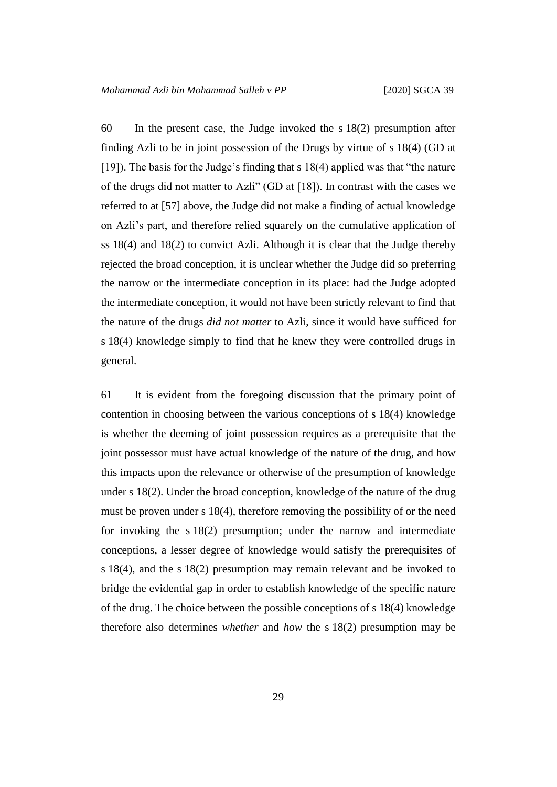60 In the present case, the Judge invoked the s 18(2) presumption after finding Azli to be in joint possession of the Drugs by virtue of s 18(4) (GD at [19]). The basis for the Judge's finding that s 18(4) applied was that "the nature of the drugs did not matter to Azli" (GD at [18]). In contrast with the cases we referred to at [57] above, the Judge did not make a finding of actual knowledge on Azli's part, and therefore relied squarely on the cumulative application of ss 18(4) and 18(2) to convict Azli. Although it is clear that the Judge thereby rejected the broad conception, it is unclear whether the Judge did so preferring the narrow or the intermediate conception in its place: had the Judge adopted the intermediate conception, it would not have been strictly relevant to find that the nature of the drugs *did not matter* to Azli, since it would have sufficed for s 18(4) knowledge simply to find that he knew they were controlled drugs in general.

61 It is evident from the foregoing discussion that the primary point of contention in choosing between the various conceptions of s 18(4) knowledge is whether the deeming of joint possession requires as a prerequisite that the joint possessor must have actual knowledge of the nature of the drug, and how this impacts upon the relevance or otherwise of the presumption of knowledge under s 18(2). Under the broad conception, knowledge of the nature of the drug must be proven under s 18(4), therefore removing the possibility of or the need for invoking the s 18(2) presumption; under the narrow and intermediate conceptions, a lesser degree of knowledge would satisfy the prerequisites of s 18(4), and the s 18(2) presumption may remain relevant and be invoked to bridge the evidential gap in order to establish knowledge of the specific nature of the drug. The choice between the possible conceptions of s 18(4) knowledge therefore also determines *whether* and *how* the s 18(2) presumption may be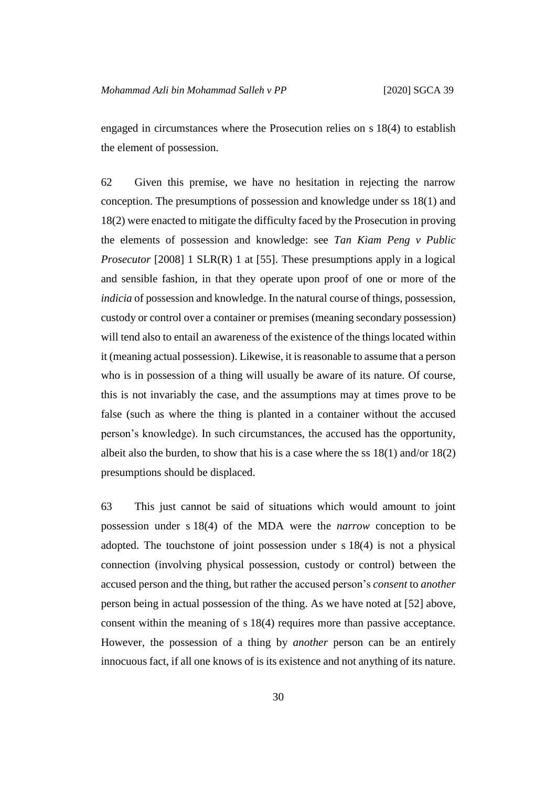engaged in circumstances where the Prosecution relies on s 18(4) to establish the element of possession.

62 Given this premise, we have no hesitation in rejecting the narrow conception. The presumptions of possession and knowledge under ss 18(1) and 18(2) were enacted to mitigate the difficulty faced by the Prosecution in proving the elements of possession and knowledge: see *Tan Kiam Peng v Public Prosecutor* [2008] 1 SLR(R) 1 at [55]. These presumptions apply in a logical and sensible fashion, in that they operate upon proof of one or more of the *indicia* of possession and knowledge. In the natural course of things, possession, custody or control over a container or premises (meaning secondary possession) will tend also to entail an awareness of the existence of the things located within it (meaning actual possession). Likewise, it is reasonable to assume that a person who is in possession of a thing will usually be aware of its nature. Of course, this is not invariably the case, and the assumptions may at times prove to be false (such as where the thing is planted in a container without the accused person's knowledge). In such circumstances, the accused has the opportunity, albeit also the burden, to show that his is a case where the ss  $18(1)$  and/or  $18(2)$ presumptions should be displaced.

63 This just cannot be said of situations which would amount to joint possession under s 18(4) of the MDA were the *narrow* conception to be adopted. The touchstone of joint possession under s 18(4) is not a physical connection (involving physical possession, custody or control) between the accused person and the thing, but rather the accused person's *consent* to *another* person being in actual possession of the thing. As we have noted at [52] above, consent within the meaning of s 18(4) requires more than passive acceptance. However, the possession of a thing by *another* person can be an entirely innocuous fact, if all one knows of is its existence and not anything of its nature.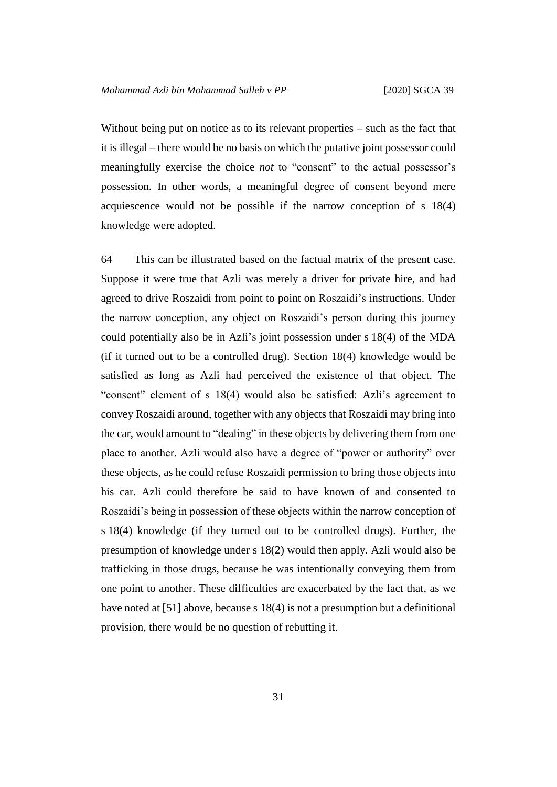Without being put on notice as to its relevant properties – such as the fact that it is illegal – there would be no basis on which the putative joint possessor could meaningfully exercise the choice *not* to "consent" to the actual possessor's possession. In other words, a meaningful degree of consent beyond mere acquiescence would not be possible if the narrow conception of s 18(4) knowledge were adopted.

64 This can be illustrated based on the factual matrix of the present case. Suppose it were true that Azli was merely a driver for private hire, and had agreed to drive Roszaidi from point to point on Roszaidi's instructions. Under the narrow conception, any object on Roszaidi's person during this journey could potentially also be in Azli's joint possession under s 18(4) of the MDA (if it turned out to be a controlled drug). Section 18(4) knowledge would be satisfied as long as Azli had perceived the existence of that object. The "consent" element of s 18(4) would also be satisfied: Azli's agreement to convey Roszaidi around, together with any objects that Roszaidi may bring into the car, would amount to "dealing" in these objects by delivering them from one place to another. Azli would also have a degree of "power or authority" over these objects, as he could refuse Roszaidi permission to bring those objects into his car. Azli could therefore be said to have known of and consented to Roszaidi's being in possession of these objects within the narrow conception of s 18(4) knowledge (if they turned out to be controlled drugs). Further, the presumption of knowledge under s 18(2) would then apply. Azli would also be trafficking in those drugs, because he was intentionally conveying them from one point to another. These difficulties are exacerbated by the fact that, as we have noted at [51] above, because s 18(4) is not a presumption but a definitional provision, there would be no question of rebutting it.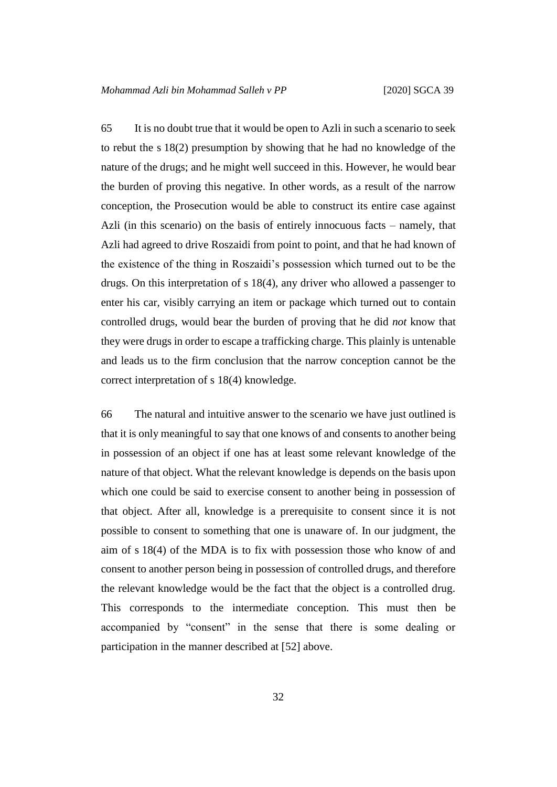65 It is no doubt true that it would be open to Azli in such a scenario to seek to rebut the s 18(2) presumption by showing that he had no knowledge of the nature of the drugs; and he might well succeed in this. However, he would bear the burden of proving this negative. In other words, as a result of the narrow conception, the Prosecution would be able to construct its entire case against Azli (in this scenario) on the basis of entirely innocuous facts – namely, that Azli had agreed to drive Roszaidi from point to point, and that he had known of the existence of the thing in Roszaidi's possession which turned out to be the drugs. On this interpretation of s 18(4), any driver who allowed a passenger to enter his car, visibly carrying an item or package which turned out to contain controlled drugs, would bear the burden of proving that he did *not* know that they were drugs in order to escape a trafficking charge. This plainly is untenable and leads us to the firm conclusion that the narrow conception cannot be the correct interpretation of s 18(4) knowledge.

66 The natural and intuitive answer to the scenario we have just outlined is that it is only meaningful to say that one knows of and consents to another being in possession of an object if one has at least some relevant knowledge of the nature of that object. What the relevant knowledge is depends on the basis upon which one could be said to exercise consent to another being in possession of that object. After all, knowledge is a prerequisite to consent since it is not possible to consent to something that one is unaware of. In our judgment, the aim of s 18(4) of the MDA is to fix with possession those who know of and consent to another person being in possession of controlled drugs, and therefore the relevant knowledge would be the fact that the object is a controlled drug. This corresponds to the intermediate conception. This must then be accompanied by "consent" in the sense that there is some dealing or participation in the manner described at [52] above.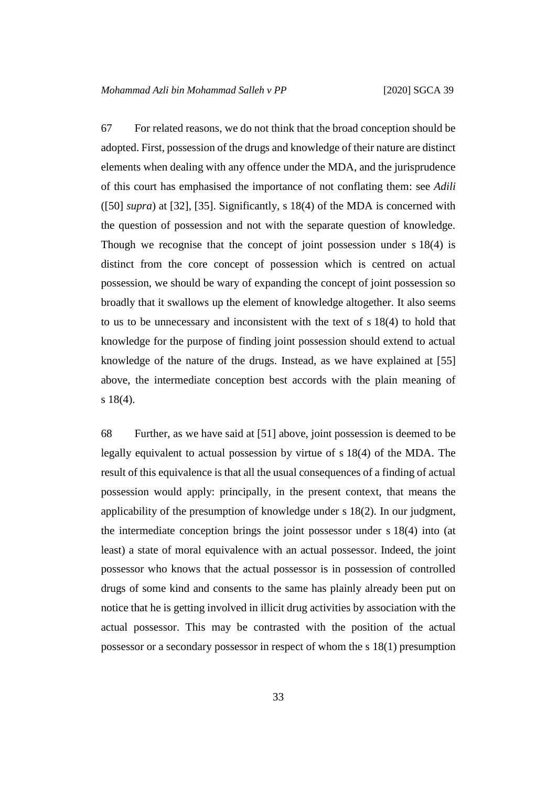67 For related reasons, we do not think that the broad conception should be adopted. First, possession of the drugs and knowledge of their nature are distinct elements when dealing with any offence under the MDA, and the jurisprudence of this court has emphasised the importance of not conflating them: see *Adili* ([50] *supra*) at [32], [35]. Significantly, s 18(4) of the MDA is concerned with the question of possession and not with the separate question of knowledge. Though we recognise that the concept of joint possession under s 18(4) is distinct from the core concept of possession which is centred on actual possession, we should be wary of expanding the concept of joint possession so broadly that it swallows up the element of knowledge altogether. It also seems to us to be unnecessary and inconsistent with the text of s 18(4) to hold that knowledge for the purpose of finding joint possession should extend to actual knowledge of the nature of the drugs. Instead, as we have explained at [55] above, the intermediate conception best accords with the plain meaning of s 18(4).

68 Further, as we have said at [51] above, joint possession is deemed to be legally equivalent to actual possession by virtue of s 18(4) of the MDA. The result of this equivalence is that all the usual consequences of a finding of actual possession would apply: principally, in the present context, that means the applicability of the presumption of knowledge under s 18(2). In our judgment, the intermediate conception brings the joint possessor under s 18(4) into (at least) a state of moral equivalence with an actual possessor. Indeed, the joint possessor who knows that the actual possessor is in possession of controlled drugs of some kind and consents to the same has plainly already been put on notice that he is getting involved in illicit drug activities by association with the actual possessor. This may be contrasted with the position of the actual possessor or a secondary possessor in respect of whom the s 18(1) presumption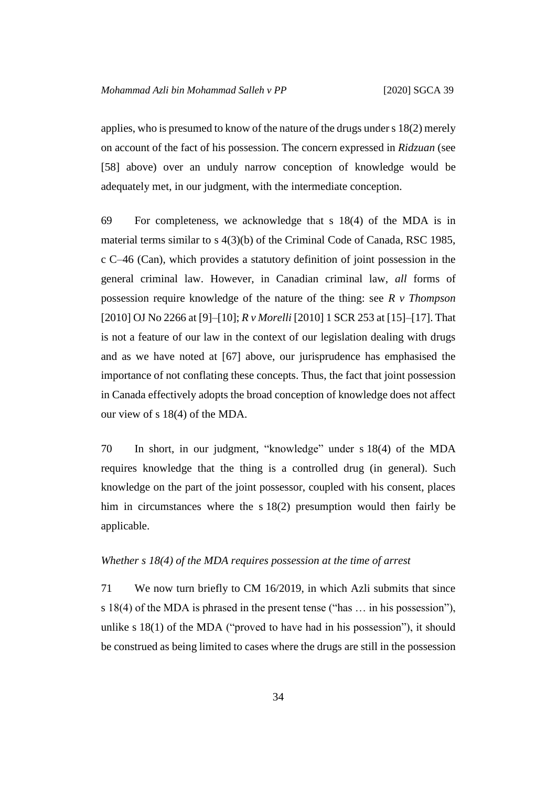applies, who is presumed to know of the nature of the drugs under s 18(2) merely on account of the fact of his possession. The concern expressed in *Ridzuan* (see [58] above) over an unduly narrow conception of knowledge would be adequately met, in our judgment, with the intermediate conception.

69 For completeness, we acknowledge that s 18(4) of the MDA is in material terms similar to s 4(3)(b) of the Criminal Code of Canada, RSC 1985, c C–46 (Can), which provides a statutory definition of joint possession in the general criminal law. However, in Canadian criminal law, *all* forms of possession require knowledge of the nature of the thing: see *R v Thompson* [2010] OJ No 2266 at [9]–[10]; *R v Morelli* [2010] 1 SCR 253 at [15]–[17]. That is not a feature of our law in the context of our legislation dealing with drugs and as we have noted at [67] above, our jurisprudence has emphasised the importance of not conflating these concepts. Thus, the fact that joint possession in Canada effectively adopts the broad conception of knowledge does not affect our view of s 18(4) of the MDA.

70 In short, in our judgment, "knowledge" under s 18(4) of the MDA requires knowledge that the thing is a controlled drug (in general). Such knowledge on the part of the joint possessor, coupled with his consent, places him in circumstances where the s 18(2) presumption would then fairly be applicable.

#### *Whether s 18(4) of the MDA requires possession at the time of arrest*

71 We now turn briefly to CM 16/2019, in which Azli submits that since s 18(4) of the MDA is phrased in the present tense ("has … in his possession"), unlike s 18(1) of the MDA ("proved to have had in his possession"), it should be construed as being limited to cases where the drugs are still in the possession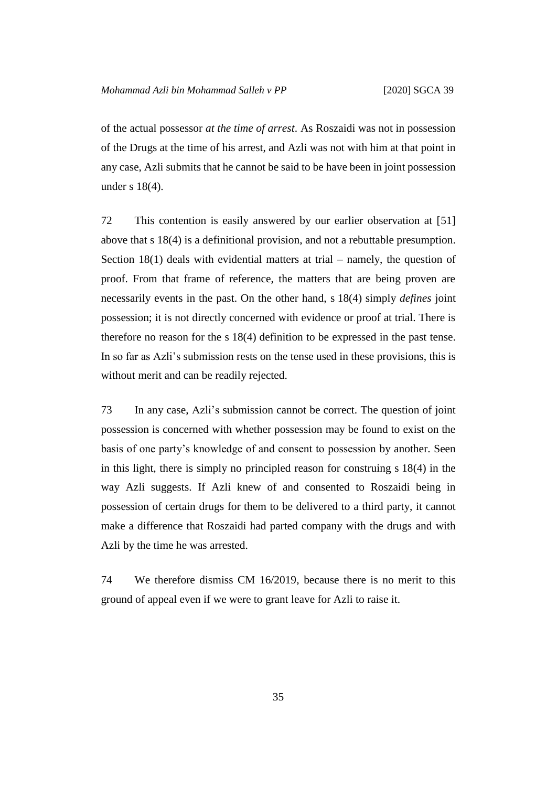of the actual possessor *at the time of arrest*. As Roszaidi was not in possession of the Drugs at the time of his arrest, and Azli was not with him at that point in any case, Azli submits that he cannot be said to be have been in joint possession under s 18(4).

72 This contention is easily answered by our earlier observation at [51] above that s 18(4) is a definitional provision, and not a rebuttable presumption. Section  $18(1)$  deals with evidential matters at trial – namely, the question of proof. From that frame of reference, the matters that are being proven are necessarily events in the past. On the other hand, s 18(4) simply *defines* joint possession; it is not directly concerned with evidence or proof at trial. There is therefore no reason for the s 18(4) definition to be expressed in the past tense. In so far as Azli's submission rests on the tense used in these provisions, this is without merit and can be readily rejected.

73 In any case, Azli's submission cannot be correct. The question of joint possession is concerned with whether possession may be found to exist on the basis of one party's knowledge of and consent to possession by another. Seen in this light, there is simply no principled reason for construing s 18(4) in the way Azli suggests. If Azli knew of and consented to Roszaidi being in possession of certain drugs for them to be delivered to a third party, it cannot make a difference that Roszaidi had parted company with the drugs and with Azli by the time he was arrested.

74 We therefore dismiss CM 16/2019, because there is no merit to this ground of appeal even if we were to grant leave for Azli to raise it.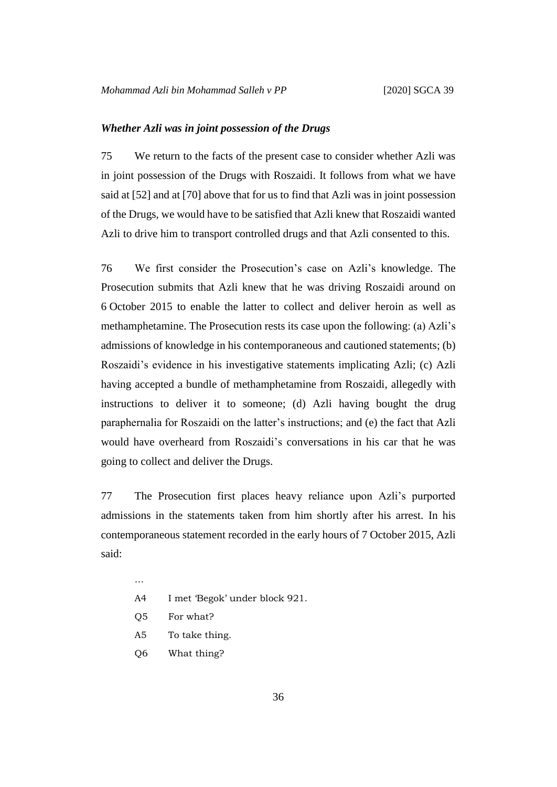#### *Whether Azli was in joint possession of the Drugs*

75 We return to the facts of the present case to consider whether Azli was in joint possession of the Drugs with Roszaidi. It follows from what we have said at [52] and at [70] above that for us to find that Azli was in joint possession of the Drugs, we would have to be satisfied that Azli knew that Roszaidi wanted Azli to drive him to transport controlled drugs and that Azli consented to this.

76 We first consider the Prosecution's case on Azli's knowledge. The Prosecution submits that Azli knew that he was driving Roszaidi around on 6 October 2015 to enable the latter to collect and deliver heroin as well as methamphetamine. The Prosecution rests its case upon the following: (a) Azli's admissions of knowledge in his contemporaneous and cautioned statements; (b) Roszaidi's evidence in his investigative statements implicating Azli; (c) Azli having accepted a bundle of methamphetamine from Roszaidi, allegedly with instructions to deliver it to someone; (d) Azli having bought the drug paraphernalia for Roszaidi on the latter's instructions; and (e) the fact that Azli would have overheard from Roszaidi's conversations in his car that he was going to collect and deliver the Drugs.

77 The Prosecution first places heavy reliance upon Azli's purported admissions in the statements taken from him shortly after his arrest. In his contemporaneous statement recorded in the early hours of 7 October 2015, Azli said:

- …
- A4 I met 'Begok' under block 921.
- Q5 For what?
- A5 To take thing.
- Q6 What thing?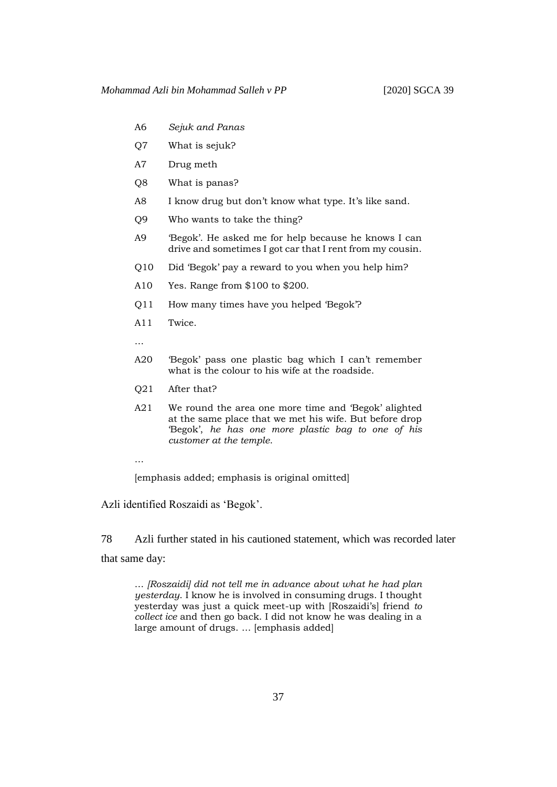- A6 *Sejuk and Panas*
- Q7 What is sejuk?
- A7 Drug meth
- Q8 What is panas?
- A8 I know drug but don't know what type. It's like sand.
- Q9 Who wants to take the thing?
- A9 'Begok'. He asked me for help because he knows I can drive and sometimes I got car that I rent from my cousin.
- Q10 Did 'Begok' pay a reward to you when you help him?
- A10 Yes. Range from \$100 to \$200.
- Q11 How many times have you helped 'Begok'?
- A11 Twice.
- …
- A20 'Begok' pass one plastic bag which I can't remember what is the colour to his wife at the roadside.
- Q21 After that?
- A21 We round the area one more time and 'Begok' alighted at the same place that we met his wife. But before drop 'Begok', *he has one more plastic bag to one of his customer at the temple*.
- …

[emphasis added; emphasis is original omitted]

Azli identified Roszaidi as 'Begok'.

78 Azli further stated in his cautioned statement, which was recorded later that same day:

… *[Roszaidi] did not tell me in advance about what he had plan yesterday*. I know he is involved in consuming drugs. I thought yesterday was just a quick meet-up with [Roszaidi's] friend *to collect ice* and then go back. I did not know he was dealing in a large amount of drugs. … [emphasis added]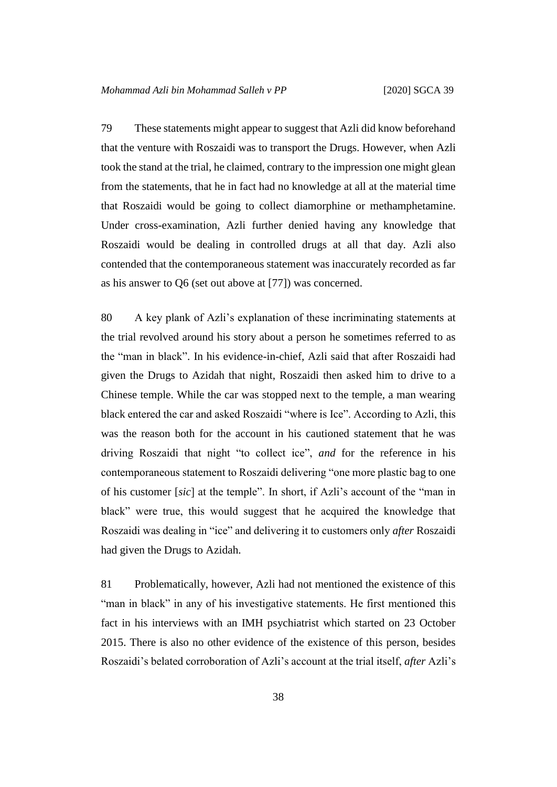79 These statements might appear to suggest that Azli did know beforehand that the venture with Roszaidi was to transport the Drugs. However, when Azli took the stand at the trial, he claimed, contrary to the impression one might glean from the statements, that he in fact had no knowledge at all at the material time that Roszaidi would be going to collect diamorphine or methamphetamine. Under cross-examination, Azli further denied having any knowledge that Roszaidi would be dealing in controlled drugs at all that day. Azli also contended that the contemporaneous statement was inaccurately recorded as far as his answer to Q6 (set out above at [77]) was concerned.

80 A key plank of Azli's explanation of these incriminating statements at the trial revolved around his story about a person he sometimes referred to as the "man in black". In his evidence-in-chief, Azli said that after Roszaidi had given the Drugs to Azidah that night, Roszaidi then asked him to drive to a Chinese temple. While the car was stopped next to the temple, a man wearing black entered the car and asked Roszaidi "where is Ice". According to Azli, this was the reason both for the account in his cautioned statement that he was driving Roszaidi that night "to collect ice", *and* for the reference in his contemporaneous statement to Roszaidi delivering "one more plastic bag to one of his customer [*sic*] at the temple". In short, if Azli's account of the "man in black" were true, this would suggest that he acquired the knowledge that Roszaidi was dealing in "ice" and delivering it to customers only *after* Roszaidi had given the Drugs to Azidah.

81 Problematically, however, Azli had not mentioned the existence of this "man in black" in any of his investigative statements. He first mentioned this fact in his interviews with an IMH psychiatrist which started on 23 October 2015. There is also no other evidence of the existence of this person, besides Roszaidi's belated corroboration of Azli's account at the trial itself, *after* Azli's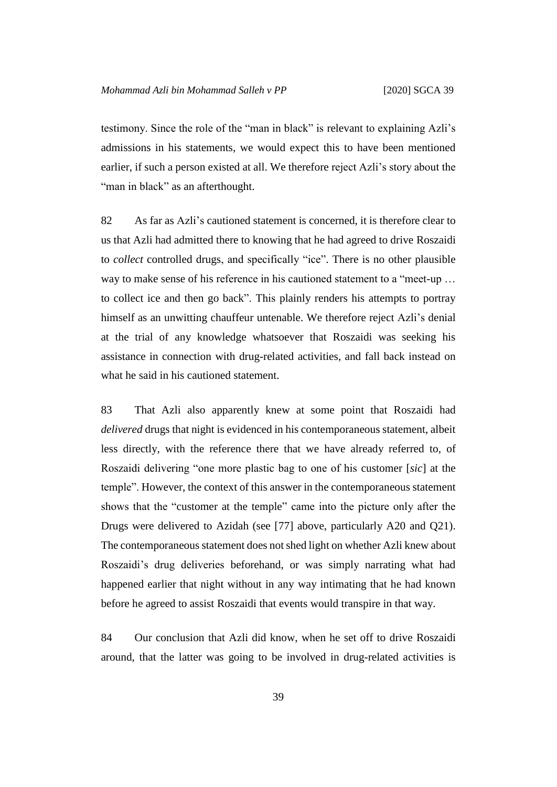testimony. Since the role of the "man in black" is relevant to explaining Azli's admissions in his statements, we would expect this to have been mentioned earlier, if such a person existed at all. We therefore reject Azli's story about the "man in black" as an afterthought.

82 As far as Azli's cautioned statement is concerned, it is therefore clear to us that Azli had admitted there to knowing that he had agreed to drive Roszaidi to *collect* controlled drugs, and specifically "ice". There is no other plausible way to make sense of his reference in his cautioned statement to a "meet-up … to collect ice and then go back". This plainly renders his attempts to portray himself as an unwitting chauffeur untenable. We therefore reject Azli's denial at the trial of any knowledge whatsoever that Roszaidi was seeking his assistance in connection with drug-related activities, and fall back instead on what he said in his cautioned statement.

83 That Azli also apparently knew at some point that Roszaidi had *delivered* drugs that night is evidenced in his contemporaneous statement, albeit less directly, with the reference there that we have already referred to, of Roszaidi delivering "one more plastic bag to one of his customer [*sic*] at the temple". However, the context of this answer in the contemporaneous statement shows that the "customer at the temple" came into the picture only after the Drugs were delivered to Azidah (see [77] above, particularly A20 and Q21). The contemporaneous statement does not shed light on whether Azli knew about Roszaidi's drug deliveries beforehand, or was simply narrating what had happened earlier that night without in any way intimating that he had known before he agreed to assist Roszaidi that events would transpire in that way.

84 Our conclusion that Azli did know, when he set off to drive Roszaidi around, that the latter was going to be involved in drug-related activities is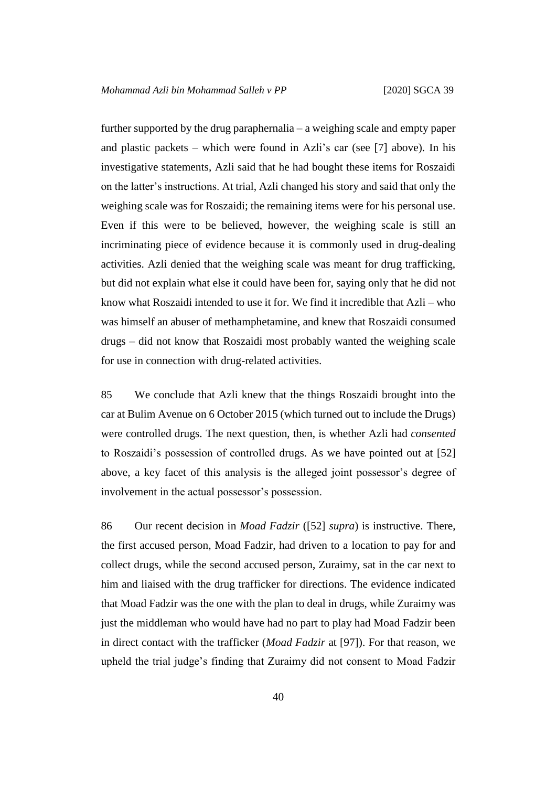further supported by the drug paraphernalia – a weighing scale and empty paper and plastic packets – which were found in Azli's car (see [7] above). In his investigative statements, Azli said that he had bought these items for Roszaidi on the latter's instructions. At trial, Azli changed his story and said that only the weighing scale was for Roszaidi; the remaining items were for his personal use. Even if this were to be believed, however, the weighing scale is still an incriminating piece of evidence because it is commonly used in drug-dealing activities. Azli denied that the weighing scale was meant for drug trafficking, but did not explain what else it could have been for, saying only that he did not know what Roszaidi intended to use it for. We find it incredible that Azli – who was himself an abuser of methamphetamine, and knew that Roszaidi consumed drugs – did not know that Roszaidi most probably wanted the weighing scale for use in connection with drug-related activities.

85 We conclude that Azli knew that the things Roszaidi brought into the car at Bulim Avenue on 6 October 2015 (which turned out to include the Drugs) were controlled drugs. The next question, then, is whether Azli had *consented* to Roszaidi's possession of controlled drugs. As we have pointed out at [52] above, a key facet of this analysis is the alleged joint possessor's degree of involvement in the actual possessor's possession.

86 Our recent decision in *Moad Fadzir* ([52] *supra*) is instructive. There, the first accused person, Moad Fadzir, had driven to a location to pay for and collect drugs, while the second accused person, Zuraimy, sat in the car next to him and liaised with the drug trafficker for directions. The evidence indicated that Moad Fadzir was the one with the plan to deal in drugs, while Zuraimy was just the middleman who would have had no part to play had Moad Fadzir been in direct contact with the trafficker (*Moad Fadzir* at [97]). For that reason, we upheld the trial judge's finding that Zuraimy did not consent to Moad Fadzir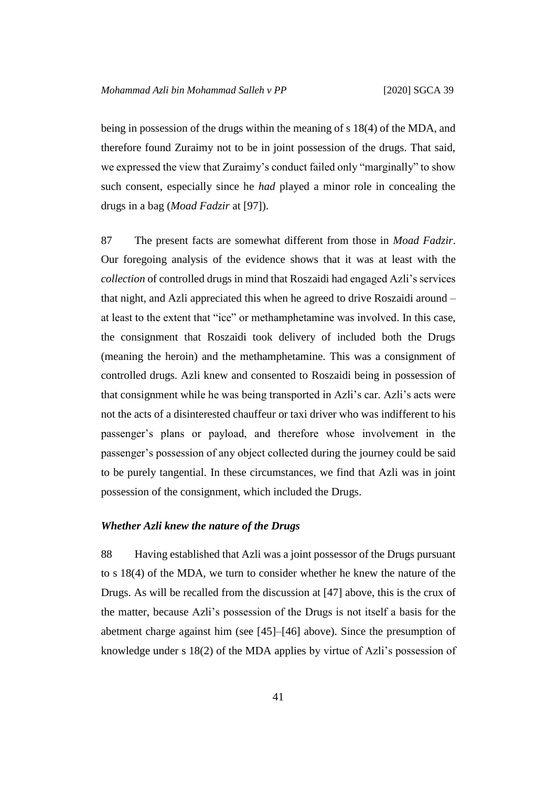being in possession of the drugs within the meaning of s 18(4) of the MDA, and therefore found Zuraimy not to be in joint possession of the drugs. That said, we expressed the view that Zuraimy's conduct failed only "marginally" to show such consent, especially since he *had* played a minor role in concealing the drugs in a bag (*Moad Fadzir* at [97]).

87 The present facts are somewhat different from those in *Moad Fadzir*. Our foregoing analysis of the evidence shows that it was at least with the *collection* of controlled drugs in mind that Roszaidi had engaged Azli's services that night, and Azli appreciated this when he agreed to drive Roszaidi around – at least to the extent that "ice" or methamphetamine was involved. In this case, the consignment that Roszaidi took delivery of included both the Drugs (meaning the heroin) and the methamphetamine. This was a consignment of controlled drugs. Azli knew and consented to Roszaidi being in possession of that consignment while he was being transported in Azli's car. Azli's acts were not the acts of a disinterested chauffeur or taxi driver who was indifferent to his passenger's plans or payload, and therefore whose involvement in the passenger's possession of any object collected during the journey could be said to be purely tangential. In these circumstances, we find that Azli was in joint possession of the consignment, which included the Drugs.

#### *Whether Azli knew the nature of the Drugs*

88 Having established that Azli was a joint possessor of the Drugs pursuant to s 18(4) of the MDA, we turn to consider whether he knew the nature of the Drugs. As will be recalled from the discussion at [47] above, this is the crux of the matter, because Azli's possession of the Drugs is not itself a basis for the abetment charge against him (see [45]–[46] above). Since the presumption of knowledge under s 18(2) of the MDA applies by virtue of Azli's possession of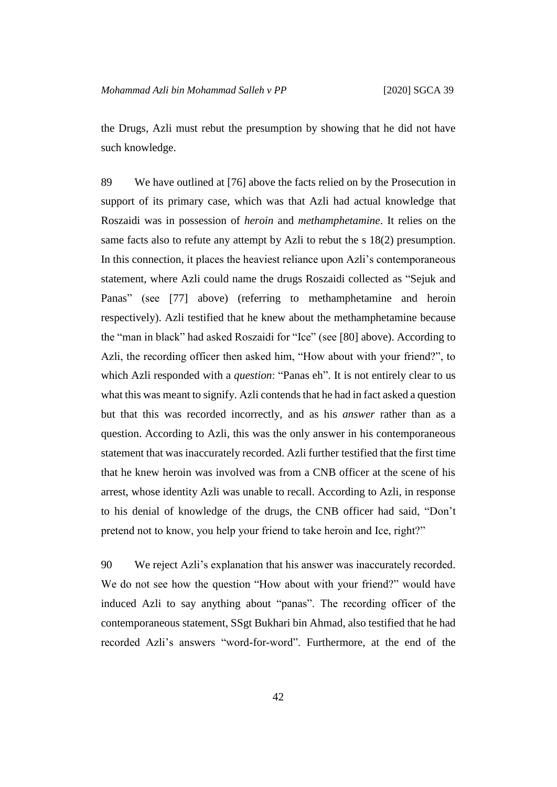the Drugs, Azli must rebut the presumption by showing that he did not have such knowledge.

89 We have outlined at [76] above the facts relied on by the Prosecution in support of its primary case, which was that Azli had actual knowledge that Roszaidi was in possession of *heroin* and *methamphetamine*. It relies on the same facts also to refute any attempt by Azli to rebut the s 18(2) presumption. In this connection, it places the heaviest reliance upon Azli's contemporaneous statement, where Azli could name the drugs Roszaidi collected as "Sejuk and Panas" (see [77] above) (referring to methamphetamine and heroin respectively). Azli testified that he knew about the methamphetamine because the "man in black" had asked Roszaidi for "Ice" (see [80] above). According to Azli, the recording officer then asked him, "How about with your friend?", to which Azli responded with a *question*: "Panas eh". It is not entirely clear to us what this was meant to signify. Azli contends that he had in fact asked a question but that this was recorded incorrectly, and as his *answer* rather than as a question. According to Azli, this was the only answer in his contemporaneous statement that was inaccurately recorded. Azli further testified that the first time that he knew heroin was involved was from a CNB officer at the scene of his arrest, whose identity Azli was unable to recall. According to Azli, in response to his denial of knowledge of the drugs, the CNB officer had said, "Don't pretend not to know, you help your friend to take heroin and Ice, right?"

90 We reject Azli's explanation that his answer was inaccurately recorded. We do not see how the question "How about with your friend?" would have induced Azli to say anything about "panas". The recording officer of the contemporaneous statement, SSgt Bukhari bin Ahmad, also testified that he had recorded Azli's answers "word-for-word". Furthermore, at the end of the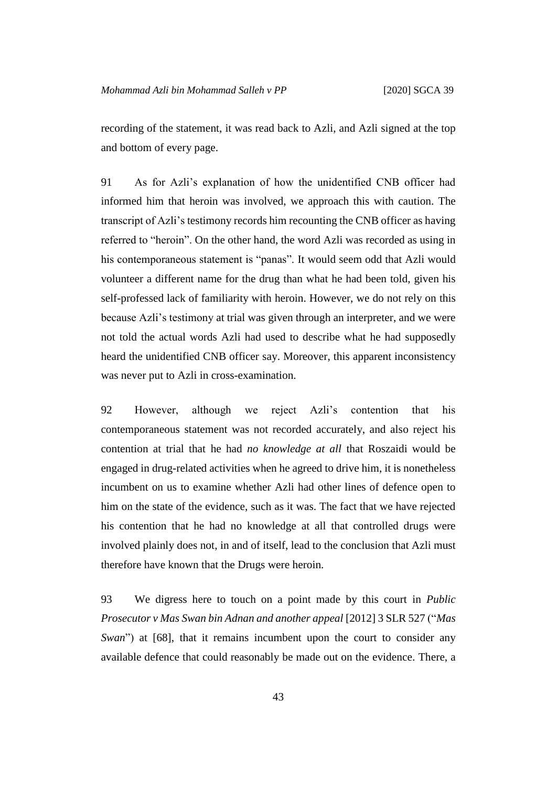recording of the statement, it was read back to Azli, and Azli signed at the top and bottom of every page.

91 As for Azli's explanation of how the unidentified CNB officer had informed him that heroin was involved, we approach this with caution. The transcript of Azli's testimony records him recounting the CNB officer as having referred to "heroin". On the other hand, the word Azli was recorded as using in his contemporaneous statement is "panas". It would seem odd that Azli would volunteer a different name for the drug than what he had been told, given his self-professed lack of familiarity with heroin. However, we do not rely on this because Azli's testimony at trial was given through an interpreter, and we were not told the actual words Azli had used to describe what he had supposedly heard the unidentified CNB officer say. Moreover, this apparent inconsistency was never put to Azli in cross-examination.

92 However, although we reject Azli's contention that his contemporaneous statement was not recorded accurately, and also reject his contention at trial that he had *no knowledge at all* that Roszaidi would be engaged in drug-related activities when he agreed to drive him, it is nonetheless incumbent on us to examine whether Azli had other lines of defence open to him on the state of the evidence, such as it was. The fact that we have rejected his contention that he had no knowledge at all that controlled drugs were involved plainly does not, in and of itself, lead to the conclusion that Azli must therefore have known that the Drugs were heroin.

93 We digress here to touch on a point made by this court in *Public Prosecutor v Mas Swan bin Adnan and another appeal* [2012] 3 SLR 527 ("*Mas Swan*") at [68], that it remains incumbent upon the court to consider any available defence that could reasonably be made out on the evidence. There, a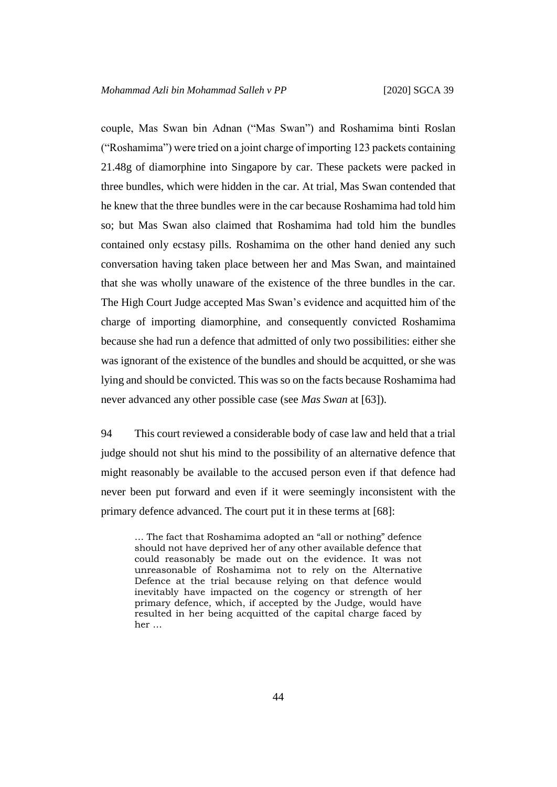couple, Mas Swan bin Adnan ("Mas Swan") and Roshamima binti Roslan ("Roshamima") were tried on a joint charge of importing 123 packets containing 21.48g of diamorphine into Singapore by car. These packets were packed in three bundles, which were hidden in the car. At trial, Mas Swan contended that he knew that the three bundles were in the car because Roshamima had told him so; but Mas Swan also claimed that Roshamima had told him the bundles contained only ecstasy pills. Roshamima on the other hand denied any such conversation having taken place between her and Mas Swan, and maintained that she was wholly unaware of the existence of the three bundles in the car. The High Court Judge accepted Mas Swan's evidence and acquitted him of the charge of importing diamorphine, and consequently convicted Roshamima because she had run a defence that admitted of only two possibilities: either she was ignorant of the existence of the bundles and should be acquitted, or she was lying and should be convicted. This was so on the facts because Roshamima had never advanced any other possible case (see *Mas Swan* at [63]).

94 This court reviewed a considerable body of case law and held that a trial judge should not shut his mind to the possibility of an alternative defence that might reasonably be available to the accused person even if that defence had never been put forward and even if it were seemingly inconsistent with the primary defence advanced. The court put it in these terms at [68]:

… The fact that Roshamima adopted an "all or nothing" defence should not have deprived her of any other available defence that could reasonably be made out on the evidence. It was not unreasonable of Roshamima not to rely on the Alternative Defence at the trial because relying on that defence would inevitably have impacted on the cogency or strength of her primary defence, which, if accepted by the Judge, would have resulted in her being acquitted of the capital charge faced by her …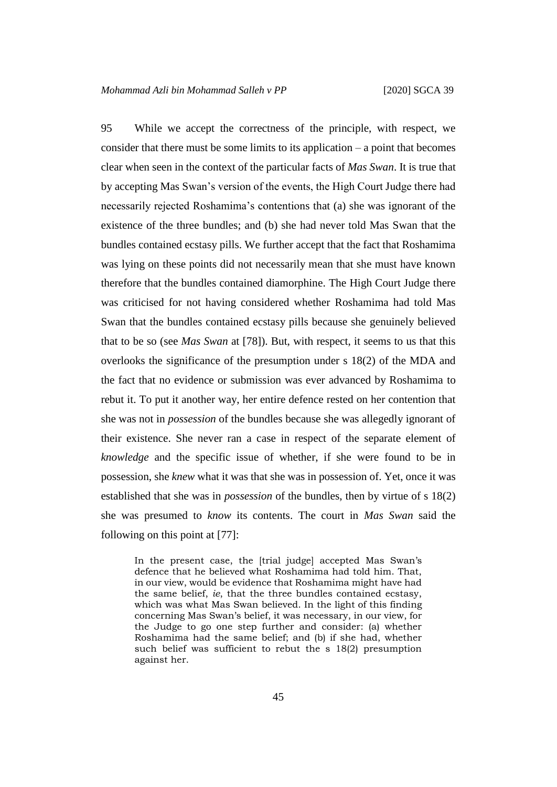95 While we accept the correctness of the principle, with respect, we consider that there must be some limits to its application – a point that becomes clear when seen in the context of the particular facts of *Mas Swan*. It is true that by accepting Mas Swan's version of the events, the High Court Judge there had necessarily rejected Roshamima's contentions that (a) she was ignorant of the existence of the three bundles; and (b) she had never told Mas Swan that the bundles contained ecstasy pills. We further accept that the fact that Roshamima was lying on these points did not necessarily mean that she must have known therefore that the bundles contained diamorphine. The High Court Judge there was criticised for not having considered whether Roshamima had told Mas Swan that the bundles contained ecstasy pills because she genuinely believed that to be so (see *Mas Swan* at [78]). But, with respect, it seems to us that this overlooks the significance of the presumption under s 18(2) of the MDA and the fact that no evidence or submission was ever advanced by Roshamima to rebut it. To put it another way, her entire defence rested on her contention that she was not in *possession* of the bundles because she was allegedly ignorant of their existence. She never ran a case in respect of the separate element of *knowledge* and the specific issue of whether, if she were found to be in possession, she *knew* what it was that she was in possession of. Yet, once it was established that she was in *possession* of the bundles, then by virtue of s 18(2) she was presumed to *know* its contents. The court in *Mas Swan* said the following on this point at [77]:

In the present case, the [trial judge] accepted Mas Swan's defence that he believed what Roshamima had told him. That, in our view, would be evidence that Roshamima might have had the same belief, *ie*, that the three bundles contained ecstasy, which was what Mas Swan believed. In the light of this finding concerning Mas Swan's belief, it was necessary, in our view, for the Judge to go one step further and consider: (a) whether Roshamima had the same belief; and (b) if she had, whether such belief was sufficient to rebut the s 18(2) presumption against her.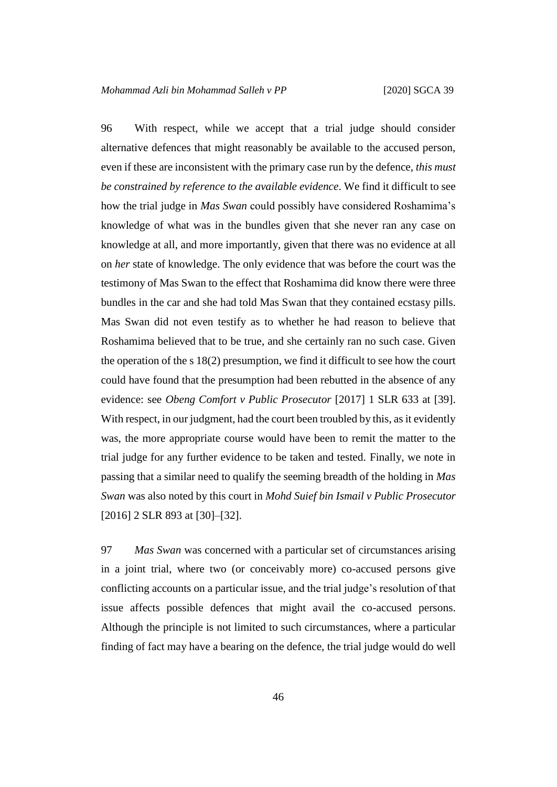96 With respect, while we accept that a trial judge should consider alternative defences that might reasonably be available to the accused person, even if these are inconsistent with the primary case run by the defence, *this must be constrained by reference to the available evidence*. We find it difficult to see how the trial judge in *Mas Swan* could possibly have considered Roshamima's knowledge of what was in the bundles given that she never ran any case on knowledge at all, and more importantly, given that there was no evidence at all on *her* state of knowledge. The only evidence that was before the court was the testimony of Mas Swan to the effect that Roshamima did know there were three bundles in the car and she had told Mas Swan that they contained ecstasy pills. Mas Swan did not even testify as to whether he had reason to believe that Roshamima believed that to be true, and she certainly ran no such case. Given the operation of the s 18(2) presumption, we find it difficult to see how the court could have found that the presumption had been rebutted in the absence of any evidence: see *Obeng Comfort v Public Prosecutor* [2017] 1 SLR 633 at [39]. With respect, in our judgment, had the court been troubled by this, as it evidently was, the more appropriate course would have been to remit the matter to the trial judge for any further evidence to be taken and tested. Finally, we note in passing that a similar need to qualify the seeming breadth of the holding in *Mas Swan* was also noted by this court in *Mohd Suief bin Ismail v Public Prosecutor* [2016] 2 SLR 893 at [30]–[32].

97 *Mas Swan* was concerned with a particular set of circumstances arising in a joint trial, where two (or conceivably more) co-accused persons give conflicting accounts on a particular issue, and the trial judge's resolution of that issue affects possible defences that might avail the co-accused persons. Although the principle is not limited to such circumstances, where a particular finding of fact may have a bearing on the defence, the trial judge would do well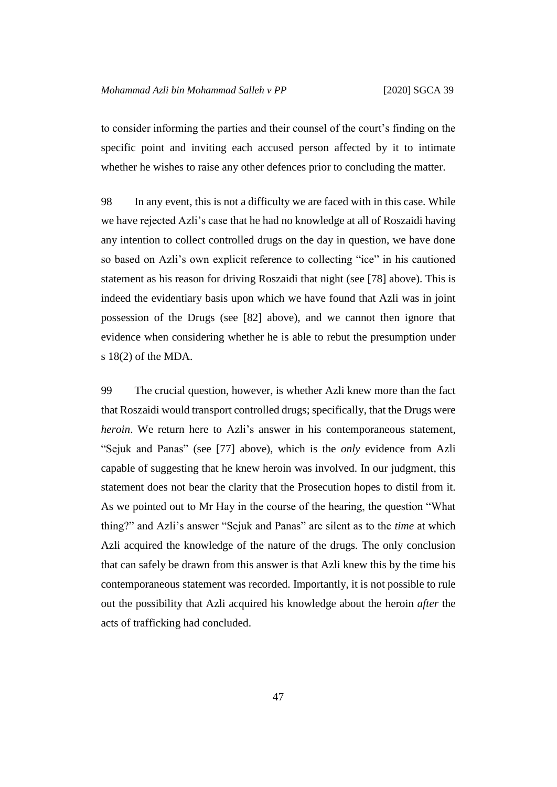to consider informing the parties and their counsel of the court's finding on the specific point and inviting each accused person affected by it to intimate whether he wishes to raise any other defences prior to concluding the matter.

98 In any event, this is not a difficulty we are faced with in this case. While we have rejected Azli's case that he had no knowledge at all of Roszaidi having any intention to collect controlled drugs on the day in question, we have done so based on Azli's own explicit reference to collecting "ice" in his cautioned statement as his reason for driving Roszaidi that night (see [78] above). This is indeed the evidentiary basis upon which we have found that Azli was in joint possession of the Drugs (see [82] above), and we cannot then ignore that evidence when considering whether he is able to rebut the presumption under s 18(2) of the MDA.

99 The crucial question, however, is whether Azli knew more than the fact that Roszaidi would transport controlled drugs; specifically, that the Drugs were *heroin*. We return here to Azli's answer in his contemporaneous statement, "Sejuk and Panas" (see [77] above), which is the *only* evidence from Azli capable of suggesting that he knew heroin was involved. In our judgment, this statement does not bear the clarity that the Prosecution hopes to distil from it. As we pointed out to Mr Hay in the course of the hearing, the question "What thing?" and Azli's answer "Sejuk and Panas" are silent as to the *time* at which Azli acquired the knowledge of the nature of the drugs. The only conclusion that can safely be drawn from this answer is that Azli knew this by the time his contemporaneous statement was recorded. Importantly, it is not possible to rule out the possibility that Azli acquired his knowledge about the heroin *after* the acts of trafficking had concluded.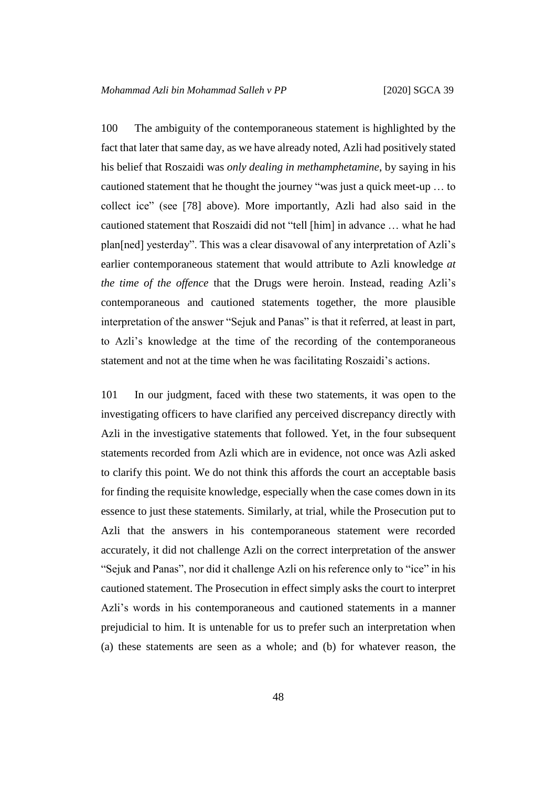100 The ambiguity of the contemporaneous statement is highlighted by the fact that later that same day, as we have already noted, Azli had positively stated his belief that Roszaidi was *only dealing in methamphetamine*, by saying in his cautioned statement that he thought the journey "was just a quick meet-up … to collect ice" (see [78] above). More importantly, Azli had also said in the cautioned statement that Roszaidi did not "tell [him] in advance … what he had plan[ned] yesterday". This was a clear disavowal of any interpretation of Azli's earlier contemporaneous statement that would attribute to Azli knowledge *at the time of the offence* that the Drugs were heroin. Instead, reading Azli's contemporaneous and cautioned statements together, the more plausible interpretation of the answer "Sejuk and Panas" is that it referred, at least in part, to Azli's knowledge at the time of the recording of the contemporaneous statement and not at the time when he was facilitating Roszaidi's actions.

101 In our judgment, faced with these two statements, it was open to the investigating officers to have clarified any perceived discrepancy directly with Azli in the investigative statements that followed. Yet, in the four subsequent statements recorded from Azli which are in evidence, not once was Azli asked to clarify this point. We do not think this affords the court an acceptable basis for finding the requisite knowledge, especially when the case comes down in its essence to just these statements. Similarly, at trial, while the Prosecution put to Azli that the answers in his contemporaneous statement were recorded accurately, it did not challenge Azli on the correct interpretation of the answer "Sejuk and Panas", nor did it challenge Azli on his reference only to "ice" in his cautioned statement. The Prosecution in effect simply asks the court to interpret Azli's words in his contemporaneous and cautioned statements in a manner prejudicial to him. It is untenable for us to prefer such an interpretation when (a) these statements are seen as a whole; and (b) for whatever reason, the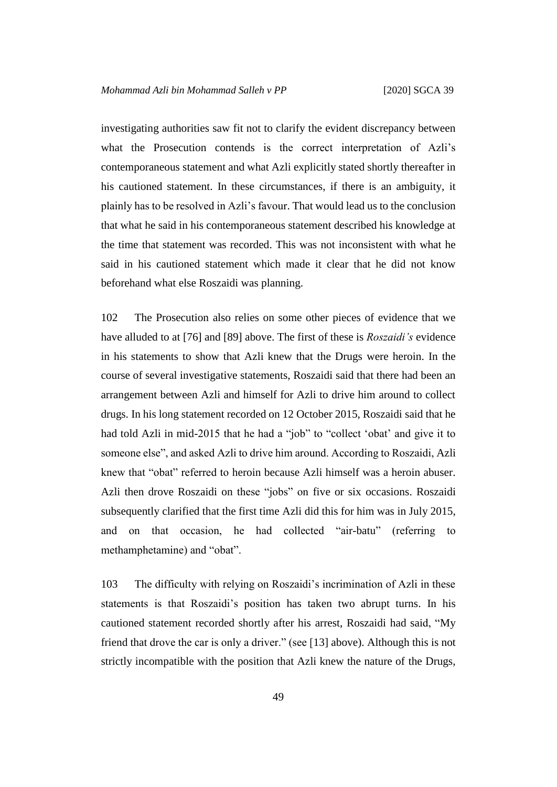investigating authorities saw fit not to clarify the evident discrepancy between what the Prosecution contends is the correct interpretation of Azli's contemporaneous statement and what Azli explicitly stated shortly thereafter in his cautioned statement. In these circumstances, if there is an ambiguity, it plainly has to be resolved in Azli's favour. That would lead us to the conclusion that what he said in his contemporaneous statement described his knowledge at the time that statement was recorded. This was not inconsistent with what he said in his cautioned statement which made it clear that he did not know beforehand what else Roszaidi was planning.

102 The Prosecution also relies on some other pieces of evidence that we have alluded to at [76] and [89] above. The first of these is *Roszaidi's* evidence in his statements to show that Azli knew that the Drugs were heroin. In the course of several investigative statements, Roszaidi said that there had been an arrangement between Azli and himself for Azli to drive him around to collect drugs. In his long statement recorded on 12 October 2015, Roszaidi said that he had told Azli in mid-2015 that he had a "job" to "collect 'obat' and give it to someone else", and asked Azli to drive him around. According to Roszaidi, Azli knew that "obat" referred to heroin because Azli himself was a heroin abuser. Azli then drove Roszaidi on these "jobs" on five or six occasions. Roszaidi subsequently clarified that the first time Azli did this for him was in July 2015, and on that occasion, he had collected "air-batu" (referring to methamphetamine) and "obat".

103 The difficulty with relying on Roszaidi's incrimination of Azli in these statements is that Roszaidi's position has taken two abrupt turns. In his cautioned statement recorded shortly after his arrest, Roszaidi had said, "My friend that drove the car is only a driver." (see [13] above). Although this is not strictly incompatible with the position that Azli knew the nature of the Drugs,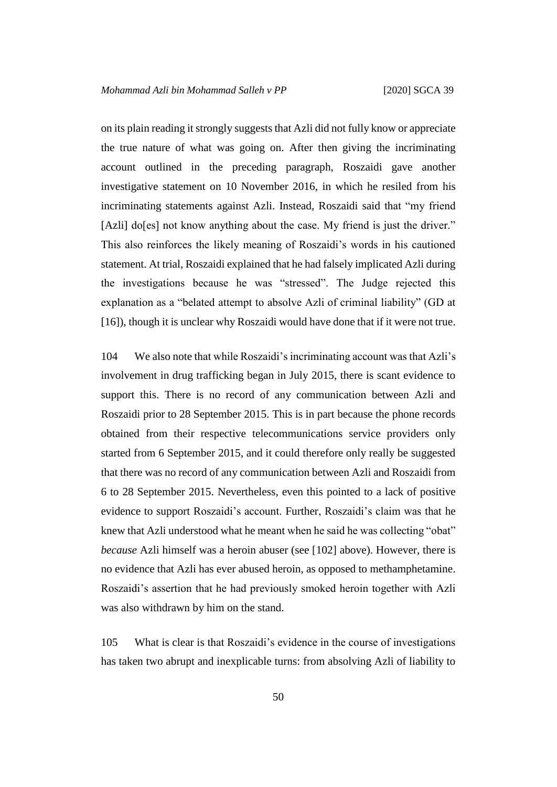on its plain reading it strongly suggests that Azli did not fully know or appreciate the true nature of what was going on. After then giving the incriminating account outlined in the preceding paragraph, Roszaidi gave another investigative statement on 10 November 2016, in which he resiled from his incriminating statements against Azli. Instead, Roszaidi said that "my friend [Azli] do[es] not know anything about the case. My friend is just the driver." This also reinforces the likely meaning of Roszaidi's words in his cautioned statement. At trial, Roszaidi explained that he had falsely implicated Azli during the investigations because he was "stressed". The Judge rejected this explanation as a "belated attempt to absolve Azli of criminal liability" (GD at [16]), though it is unclear why Roszaidi would have done that if it were not true.

104 We also note that while Roszaidi's incriminating account was that Azli's involvement in drug trafficking began in July 2015, there is scant evidence to support this. There is no record of any communication between Azli and Roszaidi prior to 28 September 2015. This is in part because the phone records obtained from their respective telecommunications service providers only started from 6 September 2015, and it could therefore only really be suggested that there was no record of any communication between Azli and Roszaidi from 6 to 28 September 2015. Nevertheless, even this pointed to a lack of positive evidence to support Roszaidi's account. Further, Roszaidi's claim was that he knew that Azli understood what he meant when he said he was collecting "obat" *because* Azli himself was a heroin abuser (see [102] above). However, there is no evidence that Azli has ever abused heroin, as opposed to methamphetamine. Roszaidi's assertion that he had previously smoked heroin together with Azli was also withdrawn by him on the stand.

105 What is clear is that Roszaidi's evidence in the course of investigations has taken two abrupt and inexplicable turns: from absolving Azli of liability to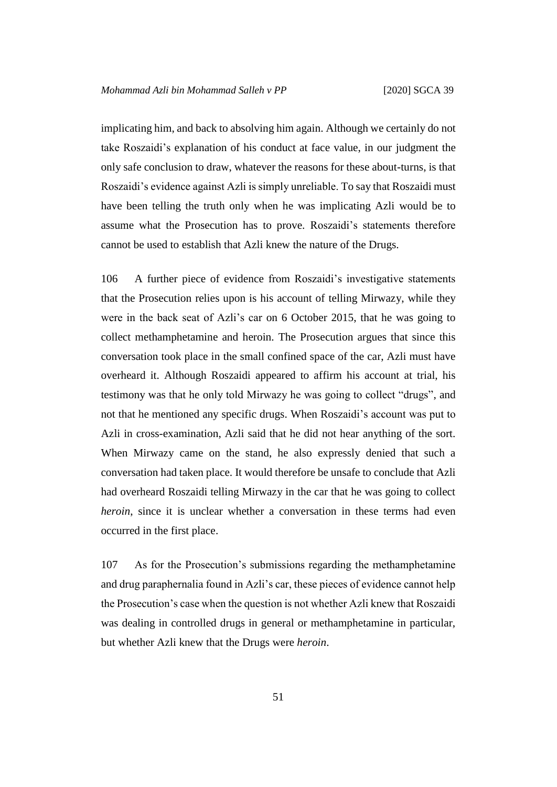implicating him, and back to absolving him again. Although we certainly do not take Roszaidi's explanation of his conduct at face value, in our judgment the only safe conclusion to draw, whatever the reasons for these about-turns, is that Roszaidi's evidence against Azli is simply unreliable. To say that Roszaidi must have been telling the truth only when he was implicating Azli would be to assume what the Prosecution has to prove. Roszaidi's statements therefore cannot be used to establish that Azli knew the nature of the Drugs.

106 A further piece of evidence from Roszaidi's investigative statements that the Prosecution relies upon is his account of telling Mirwazy, while they were in the back seat of Azli's car on 6 October 2015, that he was going to collect methamphetamine and heroin. The Prosecution argues that since this conversation took place in the small confined space of the car, Azli must have overheard it. Although Roszaidi appeared to affirm his account at trial, his testimony was that he only told Mirwazy he was going to collect "drugs", and not that he mentioned any specific drugs. When Roszaidi's account was put to Azli in cross-examination, Azli said that he did not hear anything of the sort. When Mirwazy came on the stand, he also expressly denied that such a conversation had taken place. It would therefore be unsafe to conclude that Azli had overheard Roszaidi telling Mirwazy in the car that he was going to collect *heroin*, since it is unclear whether a conversation in these terms had even occurred in the first place.

107 As for the Prosecution's submissions regarding the methamphetamine and drug paraphernalia found in Azli's car, these pieces of evidence cannot help the Prosecution's case when the question is not whether Azli knew that Roszaidi was dealing in controlled drugs in general or methamphetamine in particular, but whether Azli knew that the Drugs were *heroin*.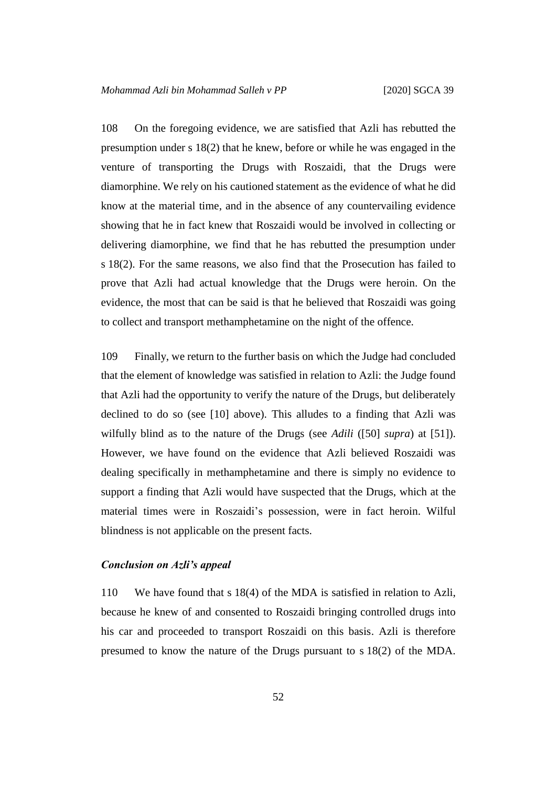108 On the foregoing evidence, we are satisfied that Azli has rebutted the presumption under s 18(2) that he knew, before or while he was engaged in the venture of transporting the Drugs with Roszaidi, that the Drugs were diamorphine. We rely on his cautioned statement as the evidence of what he did know at the material time, and in the absence of any countervailing evidence showing that he in fact knew that Roszaidi would be involved in collecting or delivering diamorphine, we find that he has rebutted the presumption under s 18(2). For the same reasons, we also find that the Prosecution has failed to prove that Azli had actual knowledge that the Drugs were heroin. On the evidence, the most that can be said is that he believed that Roszaidi was going to collect and transport methamphetamine on the night of the offence.

109 Finally, we return to the further basis on which the Judge had concluded that the element of knowledge was satisfied in relation to Azli: the Judge found that Azli had the opportunity to verify the nature of the Drugs, but deliberately declined to do so (see [10] above). This alludes to a finding that Azli was wilfully blind as to the nature of the Drugs (see *Adili* ([50] *supra*) at [51]). However, we have found on the evidence that Azli believed Roszaidi was dealing specifically in methamphetamine and there is simply no evidence to support a finding that Azli would have suspected that the Drugs, which at the material times were in Roszaidi's possession, were in fact heroin. Wilful blindness is not applicable on the present facts.

#### *Conclusion on Azli's appeal*

110 We have found that s 18(4) of the MDA is satisfied in relation to Azli, because he knew of and consented to Roszaidi bringing controlled drugs into his car and proceeded to transport Roszaidi on this basis. Azli is therefore presumed to know the nature of the Drugs pursuant to s 18(2) of the MDA.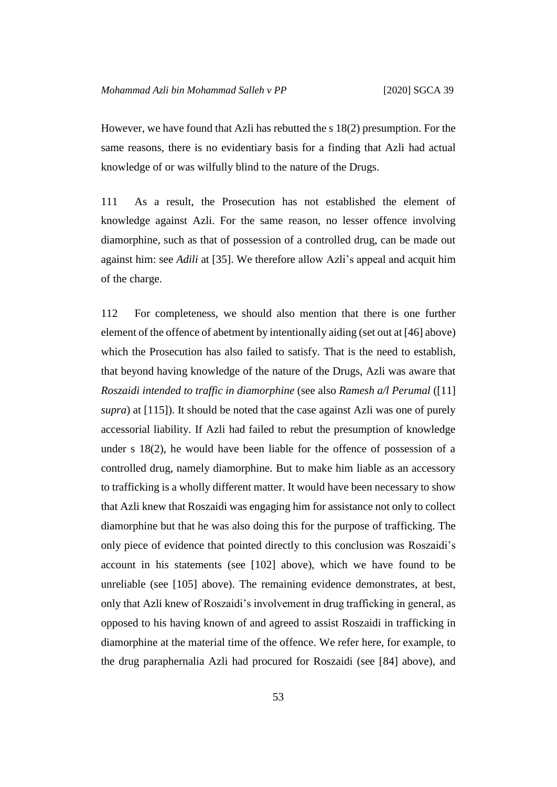However, we have found that Azli has rebutted the s 18(2) presumption. For the same reasons, there is no evidentiary basis for a finding that Azli had actual knowledge of or was wilfully blind to the nature of the Drugs.

111 As a result, the Prosecution has not established the element of knowledge against Azli. For the same reason, no lesser offence involving diamorphine, such as that of possession of a controlled drug, can be made out against him: see *Adili* at [35]. We therefore allow Azli's appeal and acquit him of the charge.

112 For completeness, we should also mention that there is one further element of the offence of abetment by intentionally aiding (set out at [46] above) which the Prosecution has also failed to satisfy. That is the need to establish, that beyond having knowledge of the nature of the Drugs, Azli was aware that *Roszaidi intended to traffic in diamorphine* (see also *Ramesh a/l Perumal* ([11] *supra*) at [115]). It should be noted that the case against Azli was one of purely accessorial liability. If Azli had failed to rebut the presumption of knowledge under s  $18(2)$ , he would have been liable for the offence of possession of a controlled drug, namely diamorphine. But to make him liable as an accessory to trafficking is a wholly different matter. It would have been necessary to show that Azli knew that Roszaidi was engaging him for assistance not only to collect diamorphine but that he was also doing this for the purpose of trafficking. The only piece of evidence that pointed directly to this conclusion was Roszaidi's account in his statements (see [102] above), which we have found to be unreliable (see [105] above). The remaining evidence demonstrates, at best, only that Azli knew of Roszaidi's involvement in drug trafficking in general, as opposed to his having known of and agreed to assist Roszaidi in trafficking in diamorphine at the material time of the offence. We refer here, for example, to the drug paraphernalia Azli had procured for Roszaidi (see [84] above), and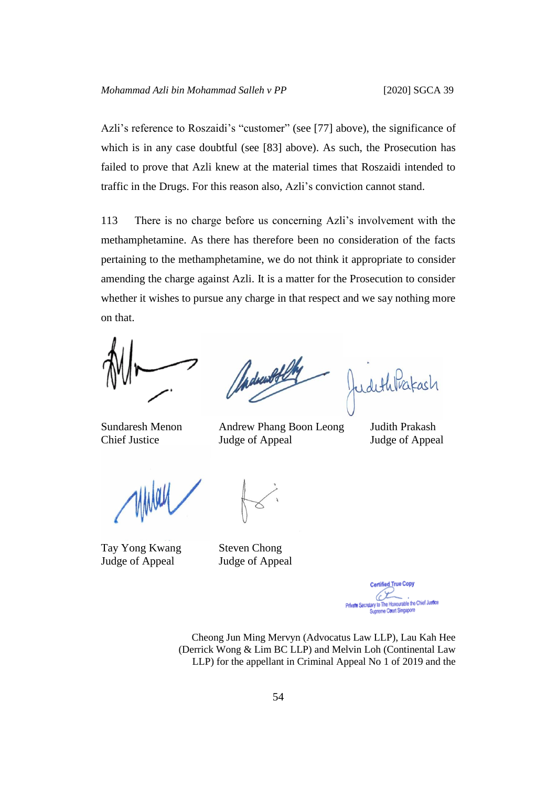Azli's reference to Roszaidi's "customer" (see [77] above), the significance of which is in any case doubtful (see [83] above). As such, the Prosecution has failed to prove that Azli knew at the material times that Roszaidi intended to traffic in the Drugs. For this reason also, Azli's conviction cannot stand.

113 There is no charge before us concerning Azli's involvement with the methamphetamine. As there has therefore been no consideration of the facts pertaining to the methamphetamine, we do not think it appropriate to consider amending the charge against Azli. It is a matter for the Prosecution to consider whether it wishes to pursue any charge in that respect and we say nothing more on that.

Sundaresh Menon Andrew Phang Boon Leong Judith Prakash Chief Justice Judge of Appeal Judge of Appeal

Tay Yong Kwang Steven Chong Judge of Appeal Judge of Appeal

d True Copy Private Secretary to The Honourable the Chief Justice Supreme Court Singapore

Cheong Jun Ming Mervyn (Advocatus Law LLP), Lau Kah Hee (Derrick Wong & Lim BC LLP) and Melvin Loh (Continental Law LLP) for the appellant in Criminal Appeal No 1 of 2019 and the